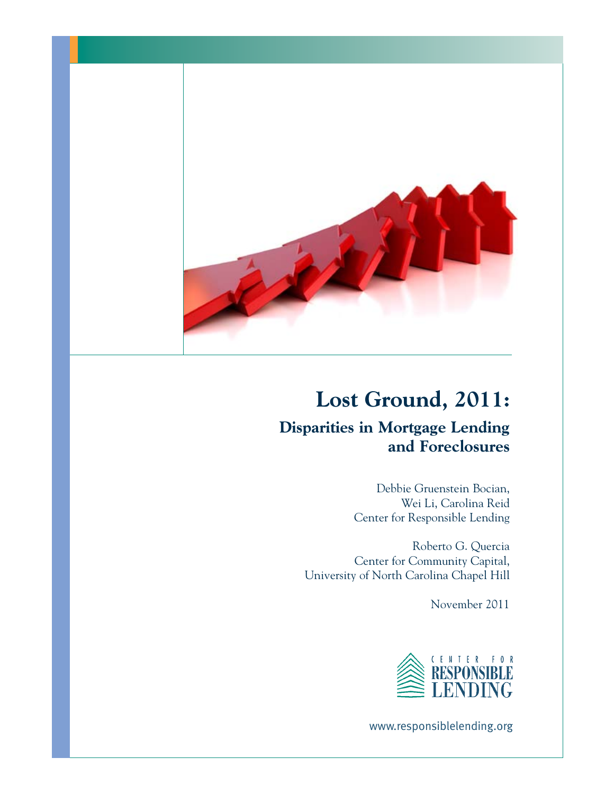

# **Lost Ground, 2011:**

## **Disparities in Mortgage Lending and Foreclosures**

Debbie Gruenstein Bocian, Wei Li, Carolina Reid Center for Responsible Lending

Roberto G. Quercia Center for Community Capital, University of North Carolina Chapel Hill

November 2011



www.responsiblelending.org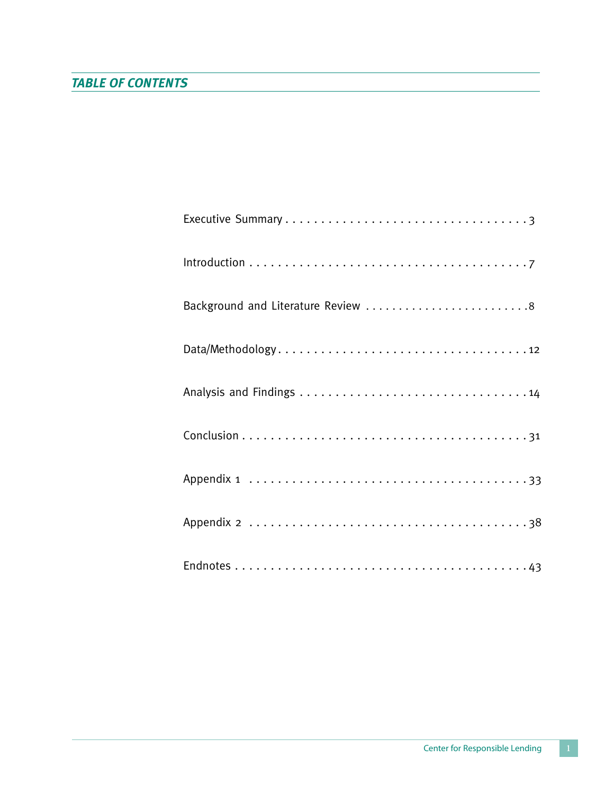| Background and Literature Review 8 |
|------------------------------------|
|                                    |
|                                    |
|                                    |
|                                    |
|                                    |
|                                    |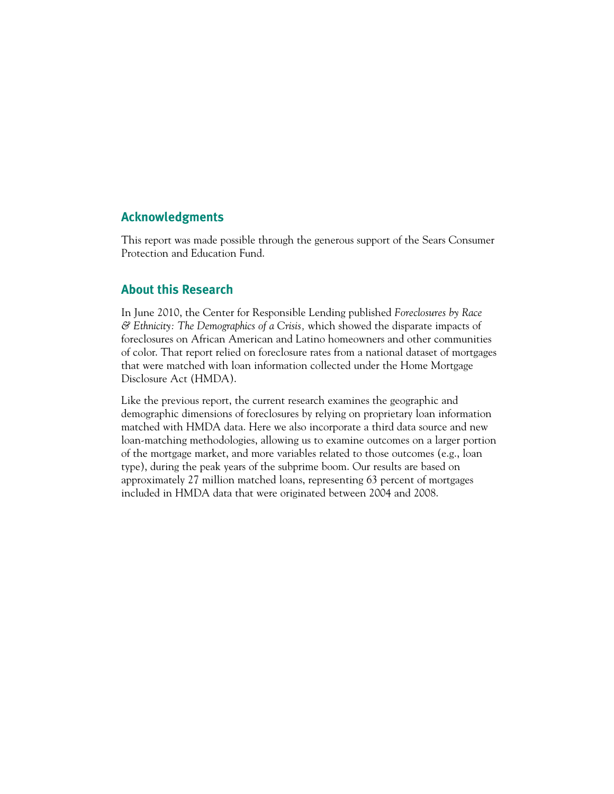## **Acknowledgments**

This report was made possible through the generous support of the Sears Consumer Protection and Education Fund.

## **About this Research**

In June 2010, the Center for Responsible Lending published *Foreclosures by Race & Ethnicity: The Demographics of a Crisis,* which showed the disparate impacts of foreclosures on African American and Latino homeowners and other communities of color. That report relied on foreclosure rates from a national dataset of mortgages that were matched with loan information collected under the Home Mortgage Disclosure Act (HMDA).

Like the previous report, the current research examines the geographic and demographic dimensions of foreclosures by relying on proprietary loan information matched with HMDA data. Here we also incorporate a third data source and new loan-matching methodologies, allowing us to examine outcomes on a larger portion of the mortgage market, and more variables related to those outcomes (e.g., loan type), during the peak years of the subprime boom. Our results are based on approximately 27 million matched loans, representing 63 percent of mortgages included in HMDA data that were originated between 2004 and 2008.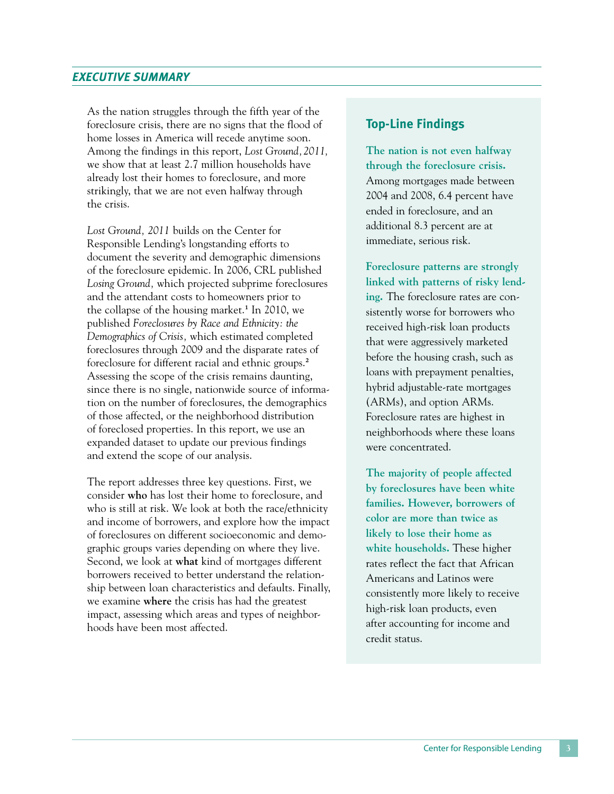## *EXECUTIVE SUMMARY*

As the nation struggles through the fifth year of the foreclosure crisis, there are no signs that the flood of home losses in America will recede anytime soon. Among the findings in this report, *Lost Ground,2011,* we show that at least 2.7 million households have already lost their homes to foreclosure, and more strikingly, that we are not even halfway through the crisis.

*Lost Ground, 2011* builds on the Center for Responsible Lending's longstanding efforts to document the severity and demographic dimensions of the foreclosure epidemic. In 2006, CRL published *Losing Ground,* which projected subprime foreclosures and the attendant costs to homeowners prior to the collapse of the housing market.<sup>1</sup> In 2010, we published *Foreclosures by Race and Ethnicity: the Demographics of Crisis,* which estimated completed foreclosures through 2009 and the disparate rates of foreclosure for different racial and ethnic groups.2 Assessing the scope of the crisis remains daunting, since there is no single, nationwide source of information on the number of foreclosures, the demographics of those affected, or the neighborhood distribution of foreclosed properties. In this report, we use an expanded dataset to update our previous findings and extend the scope of our analysis.

The report addresses three key questions. First, we consider **who** has lost their home to foreclosure, and who is still at risk. We look at both the race/ethnicity and income of borrowers, and explore how the impact of foreclosures on different socioeconomic and demographic groups varies depending on where they live. Second, we look at **what** kind of mortgages different borrowers received to better understand the relationship between loan characteristics and defaults. Finally, we examine **where** the crisis has had the greatest impact, assessing which areas and types of neighborhoods have been most affected.

## **Top-Line Findings**

**The nation is not even halfway through the foreclosure crisis.**  Among mortgages made between 2004 and 2008, 6.4 percent have ended in foreclosure, and an additional 8.3 percent are at immediate, serious risk.

**Foreclosure patterns are strongly linked with patterns of risky lending.** The foreclosure rates are consistently worse for borrowers who received high-risk loan products that were aggressively marketed before the housing crash, such as loans with prepayment penalties, hybrid adjustable-rate mortgages (ARMs), and option ARMs. Foreclosure rates are highest in neighborhoods where these loans were concentrated.

**The majority of people affected by foreclosures have been white families. However, borrowers of color are more than twice as likely to lose their home as white households.** These higher rates reflect the fact that African Americans and Latinos were consistently more likely to receive high-risk loan products, even after accounting for income and credit status.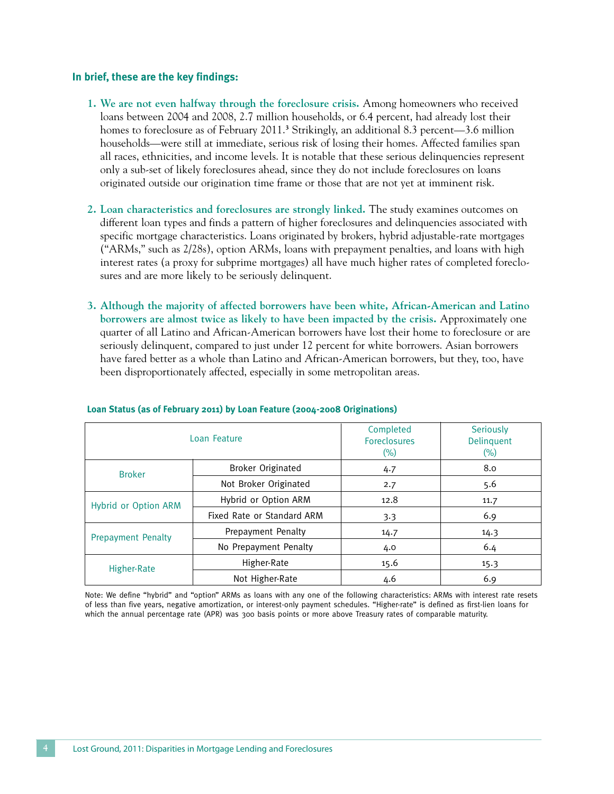#### **In brief, these are the key findings:**

- **1. We are not even halfway through the foreclosure crisis.** Among homeowners who received loans between 2004 and 2008, 2.7 million households, or 6.4 percent, had already lost their homes to foreclosure as of February 2011.<sup>3</sup> Strikingly, an additional 8.3 percent—3.6 million households—were still at immediate, serious risk of losing their homes. Affected families span all races, ethnicities, and income levels. It is notable that these serious delinquencies represent only a sub-set of likely foreclosures ahead, since they do not include foreclosures on loans originated outside our origination time frame or those that are not yet at imminent risk.
- **2. Loan characteristics and foreclosures are strongly linked.** The study examines outcomes on different loan types and finds a pattern of higher foreclosures and delinquencies associated with specific mortgage characteristics. Loans originated by brokers, hybrid adjustable-rate mortgages ("ARMs," such as 2/28s), option ARMs, loans with prepayment penalties, and loans with high interest rates (a proxy for subprime mortgages) all have much higher rates of completed foreclosures and are more likely to be seriously delinquent.
- **3. Although the majority of affected borrowers have been white, African-American and Latino borrowers are almost twice as likely to have been impacted by the crisis.** Approximately one quarter of all Latino and African-American borrowers have lost their home to foreclosure or are seriously delinquent, compared to just under 12 percent for white borrowers. Asian borrowers have fared better as a whole than Latino and African-American borrowers, but they, too, have been disproportionately affected, especially in some metropolitan areas.

|                           | Loan Feature               | Completed<br><b>Foreclosures</b><br>$(\%)$ | Seriously<br>Delinquent<br>$(\%)$ |
|---------------------------|----------------------------|--------------------------------------------|-----------------------------------|
| <b>Broker</b>             | Broker Originated          | 4.7                                        | 8.0                               |
|                           | Not Broker Originated      | 2.7                                        | 5.6                               |
| Hybrid or Option ARM      | Hybrid or Option ARM       | 12.8                                       | 11.7                              |
|                           | Fixed Rate or Standard ARM | 3.3                                        | 6.9                               |
| <b>Prepayment Penalty</b> | Prepayment Penalty         | 14.7                                       | 14.3                              |
|                           | No Prepayment Penalty      | 4.0                                        | 6.4                               |
| Higher-Rate               | Higher-Rate                | 15.6                                       | 15.3                              |
|                           | Not Higher-Rate            | 4.6                                        | 6.9                               |

#### **Loan Status (as of February 2011) by Loan Feature (2004-2008 Originations)**

Note: We define "hybrid" and "option" ARMs as loans with any one of the following characteristics: ARMs with interest rate resets of less than five years, negative amortization, or interest-only payment schedules. "Higher-rate" is defined as first-lien loans for which the annual percentage rate (APR) was 300 basis points or more above Treasury rates of comparable maturity.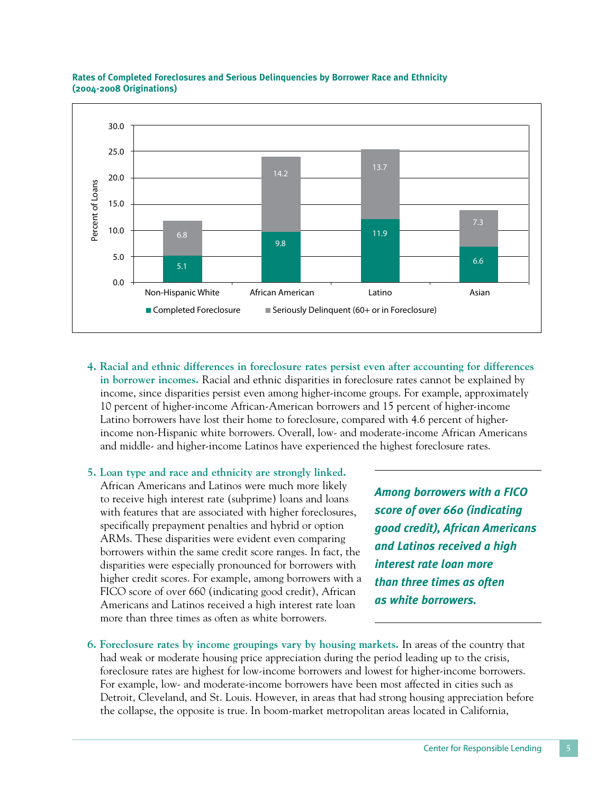

#### **Rates of Completed Foreclosures and Serious Delinquencies by Borrower Race and Ethnicity (2004-2008 Originations)**

- **4. Racial and ethnic differences in foreclosure rates persist even after accounting for differences in borrower incomes.** Racial and ethnic disparities in foreclosure rates cannot be explained by income, since disparities persist even among higher-income groups. For example, approximately 10 percent of higher-income African-American borrowers and 15 percent of higher-income Latino borrowers have lost their home to foreclosure, compared with 4.6 percent of higherincome non-Hispanic white borrowers. Overall, low- and moderate-income African Americans and middle- and higher-income Latinos have experienced the highest foreclosure rates.
- **5. Loan type and race and ethnicity are strongly linked.** African Americans and Latinos were much more likely to receive high interest rate (subprime) loans and loans with features that are associated with higher foreclosures, specifically prepayment penalties and hybrid or option ARMs. These disparities were evident even comparing borrowers within the same credit score ranges. In fact, the disparities were especially pronounced for borrowers with higher credit scores. For example, among borrowers with a FICO score of over 660 (indicating good credit), African Americans and Latinos received a high interest rate loan more than three times as often as white borrowers.

*Among borrowers with a FICO score of over 660 (indicating good credit), African Americans and Latinos received a high interest rate loan more than three times as often as white borrowers.* 

**6. Foreclosure rates by income groupings vary by housing markets.** In areas of the country that had weak or moderate housing price appreciation during the period leading up to the crisis, foreclosure rates are highest for low-income borrowers and lowest for higher-income borrowers. For example, low- and moderate-income borrowers have been most affected in cities such as Detroit, Cleveland, and St. Louis. However, in areas that had strong housing appreciation before the collapse, the opposite is true. In boom-market metropolitan areas located in California,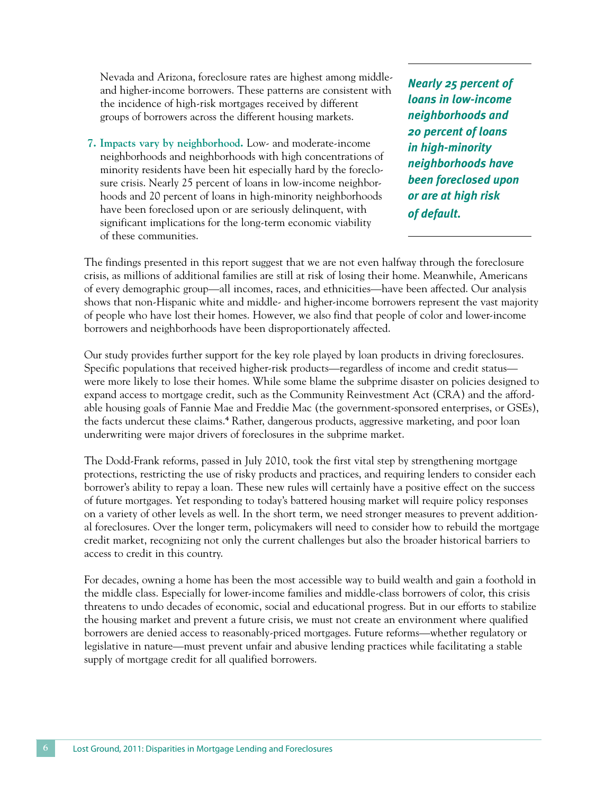Nevada and Arizona, foreclosure rates are highest among middleand higher-income borrowers. These patterns are consistent with the incidence of high-risk mortgages received by different groups of borrowers across the different housing markets.

**7. Impacts vary by neighborhood.** Low- and moderate-income neighborhoods and neighborhoods with high concentrations of minority residents have been hit especially hard by the foreclosure crisis. Nearly 25 percent of loans in low-income neighborhoods and 20 percent of loans in high-minority neighborhoods have been foreclosed upon or are seriously delinquent, with significant implications for the long-term economic viability of these communities.

*Nearly 25 percent of loans in low-income neighborhoods and 20 percent of loans in high-minority neighborhoods have been foreclosed upon or are at high risk of default.*

The findings presented in this report suggest that we are not even halfway through the foreclosure crisis, as millions of additional families are still at risk of losing their home. Meanwhile, Americans of every demographic group—all incomes, races, and ethnicities—have been affected. Our analysis shows that non-Hispanic white and middle- and higher-income borrowers represent the vast majority of people who have lost their homes. However, we also find that people of color and lower-income borrowers and neighborhoods have been disproportionately affected.

Our study provides further support for the key role played by loan products in driving foreclosures. Specific populations that received higher-risk products—regardless of income and credit status were more likely to lose their homes. While some blame the subprime disaster on policies designed to expand access to mortgage credit, such as the Community Reinvestment Act (CRA) and the affordable housing goals of Fannie Mae and Freddie Mac (the government-sponsored enterprises, or GSEs), the facts undercut these claims.<sup>4</sup> Rather, dangerous products, aggressive marketing, and poor loan underwriting were major drivers of foreclosures in the subprime market.

The Dodd-Frank reforms, passed in July 2010, took the first vital step by strengthening mortgage protections, restricting the use of risky products and practices, and requiring lenders to consider each borrower's ability to repay a loan. These new rules will certainly have a positive effect on the success of future mortgages. Yet responding to today's battered housing market will require policy responses on a variety of other levels as well. In the short term, we need stronger measures to prevent additional foreclosures. Over the longer term, policymakers will need to consider how to rebuild the mortgage credit market, recognizing not only the current challenges but also the broader historical barriers to access to credit in this country.

For decades, owning a home has been the most accessible way to build wealth and gain a foothold in the middle class. Especially for lower-income families and middle-class borrowers of color, this crisis threatens to undo decades of economic, social and educational progress. But in our efforts to stabilize the housing market and prevent a future crisis, we must not create an environment where qualified borrowers are denied access to reasonably-priced mortgages. Future reforms—whether regulatory or legislative in nature—must prevent unfair and abusive lending practices while facilitating a stable supply of mortgage credit for all qualified borrowers.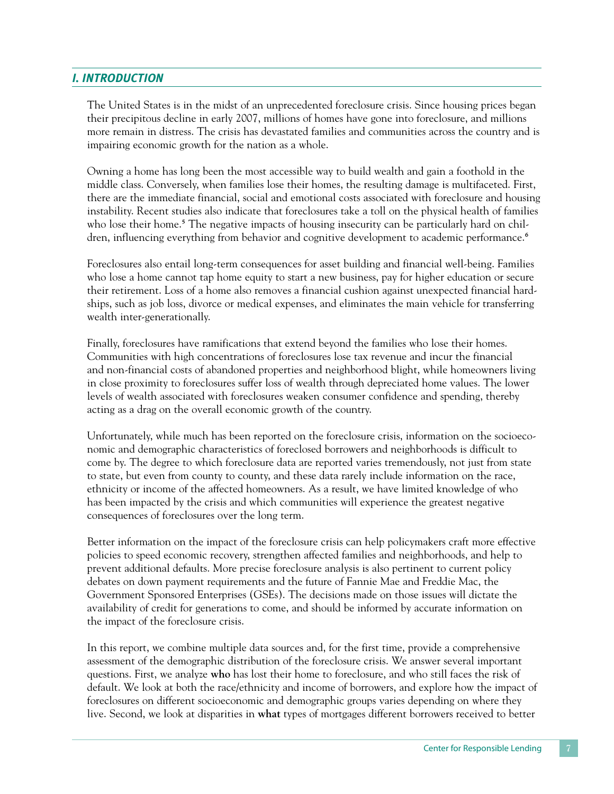## *I. IntroductioN*

The United States is in the midst of an unprecedented foreclosure crisis. Since housing prices began their precipitous decline in early 2007, millions of homes have gone into foreclosure, and millions more remain in distress. The crisis has devastated families and communities across the country and is impairing economic growth for the nation as a whole.

Owning a home has long been the most accessible way to build wealth and gain a foothold in the middle class. Conversely, when families lose their homes, the resulting damage is multifaceted. First, there are the immediate financial, social and emotional costs associated with foreclosure and housing instability. Recent studies also indicate that foreclosures take a toll on the physical health of families who lose their home.<sup>5</sup> The negative impacts of housing insecurity can be particularly hard on children, influencing everything from behavior and cognitive development to academic performance.<sup>6</sup>

Foreclosures also entail long-term consequences for asset building and financial well-being. Families who lose a home cannot tap home equity to start a new business, pay for higher education or secure their retirement. Loss of a home also removes a financial cushion against unexpected financial hardships, such as job loss, divorce or medical expenses, and eliminates the main vehicle for transferring wealth inter-generationally.

Finally, foreclosures have ramifications that extend beyond the families who lose their homes. Communities with high concentrations of foreclosures lose tax revenue and incur the financial and non-financial costs of abandoned properties and neighborhood blight, while homeowners living in close proximity to foreclosures suffer loss of wealth through depreciated home values. The lower levels of wealth associated with foreclosures weaken consumer confidence and spending, thereby acting as a drag on the overall economic growth of the country.

Unfortunately, while much has been reported on the foreclosure crisis, information on the socioeconomic and demographic characteristics of foreclosed borrowers and neighborhoods is difficult to come by. The degree to which foreclosure data are reported varies tremendously, not just from state to state, but even from county to county, and these data rarely include information on the race, ethnicity or income of the affected homeowners. As a result, we have limited knowledge of who has been impacted by the crisis and which communities will experience the greatest negative consequences of foreclosures over the long term.

Better information on the impact of the foreclosure crisis can help policymakers craft more effective policies to speed economic recovery, strengthen affected families and neighborhoods, and help to prevent additional defaults. More precise foreclosure analysis is also pertinent to current policy debates on down payment requirements and the future of Fannie Mae and Freddie Mac, the Government Sponsored Enterprises (GSEs). The decisions made on those issues will dictate the availability of credit for generations to come, and should be informed by accurate information on the impact of the foreclosure crisis.

In this report, we combine multiple data sources and, for the first time, provide a comprehensive assessment of the demographic distribution of the foreclosure crisis. We answer several important questions. First, we analyze **who** has lost their home to foreclosure, and who still faces the risk of default. We look at both the race/ethnicity and income of borrowers, and explore how the impact of foreclosures on different socioeconomic and demographic groups varies depending on where they live. Second, we look at disparities in **what** types of mortgages different borrowers received to better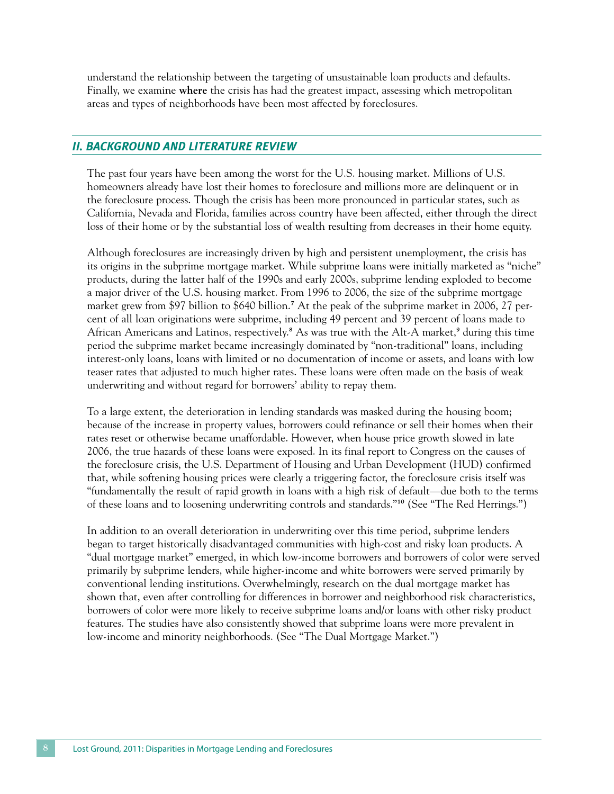understand the relationship between the targeting of unsustainable loan products and defaults. Finally, we examine **where** the crisis has had the greatest impact, assessing which metropolitan areas and types of neighborhoods have been most affected by foreclosures.

## *II. Background and Literature Review*

The past four years have been among the worst for the U.S. housing market. Millions of U.S. homeowners already have lost their homes to foreclosure and millions more are delinquent or in the foreclosure process. Though the crisis has been more pronounced in particular states, such as California, Nevada and Florida, families across country have been affected, either through the direct loss of their home or by the substantial loss of wealth resulting from decreases in their home equity.

Although foreclosures are increasingly driven by high and persistent unemployment, the crisis has its origins in the subprime mortgage market. While subprime loans were initially marketed as "niche" products, during the latter half of the 1990s and early 2000s, subprime lending exploded to become a major driver of the U.S. housing market. From 1996 to 2006, the size of the subprime mortgage market grew from \$97 billion to \$640 billion.7 At the peak of the subprime market in 2006, 27 percent of all loan originations were subprime, including 49 percent and 39 percent of loans made to African Americans and Latinos, respectively.<sup>8</sup> As was true with the Alt-A market,<sup>9</sup> during this time period the subprime market became increasingly dominated by "non-traditional" loans, including interest-only loans, loans with limited or no documentation of income or assets, and loans with low teaser rates that adjusted to much higher rates. These loans were often made on the basis of weak underwriting and without regard for borrowers' ability to repay them.

To a large extent, the deterioration in lending standards was masked during the housing boom; because of the increase in property values, borrowers could refinance or sell their homes when their rates reset or otherwise became unaffordable. However, when house price growth slowed in late 2006, the true hazards of these loans were exposed. In its final report to Congress on the causes of the foreclosure crisis, the U.S. Department of Housing and Urban Development (HUD) confirmed that, while softening housing prices were clearly a triggering factor, the foreclosure crisis itself was "fundamentally the result of rapid growth in loans with a high risk of default—due both to the terms of these loans and to loosening underwriting controls and standards."10 (See "The Red Herrings.")

In addition to an overall deterioration in underwriting over this time period, subprime lenders began to target historically disadvantaged communities with high-cost and risky loan products. A "dual mortgage market" emerged, in which low-income borrowers and borrowers of color were served primarily by subprime lenders, while higher-income and white borrowers were served primarily by conventional lending institutions. Overwhelmingly, research on the dual mortgage market has shown that, even after controlling for differences in borrower and neighborhood risk characteristics, borrowers of color were more likely to receive subprime loans and/or loans with other risky product features. The studies have also consistently showed that subprime loans were more prevalent in low-income and minority neighborhoods. (See "The Dual Mortgage Market.")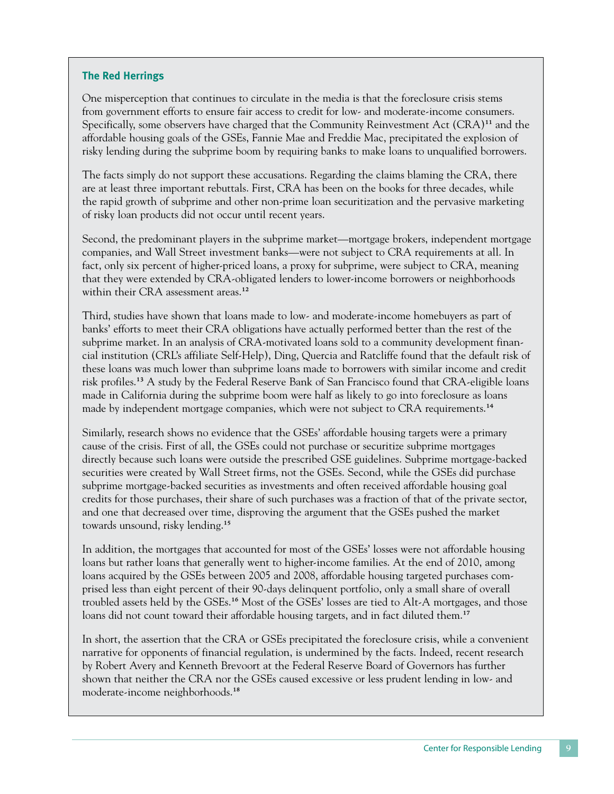## **The Red Herrings**

One misperception that continues to circulate in the media is that the foreclosure crisis stems from government efforts to ensure fair access to credit for low- and moderate-income consumers. Specifically, some observers have charged that the Community Reinvestment Act (CRA)<sup>11</sup> and the affordable housing goals of the GSEs, Fannie Mae and Freddie Mac, precipitated the explosion of risky lending during the subprime boom by requiring banks to make loans to unqualified borrowers.

The facts simply do not support these accusations. Regarding the claims blaming the CRA, there are at least three important rebuttals. First, CRA has been on the books for three decades, while the rapid growth of subprime and other non-prime loan securitization and the pervasive marketing of risky loan products did not occur until recent years.

Second, the predominant players in the subprime market—mortgage brokers, independent mortgage companies, and Wall Street investment banks—were not subject to CRA requirements at all. In fact, only six percent of higher-priced loans, a proxy for subprime, were subject to CRA, meaning that they were extended by CRA-obligated lenders to lower-income borrowers or neighborhoods within their CRA assessment areas.<sup>12</sup>

Third, studies have shown that loans made to low- and moderate-income homebuyers as part of banks' efforts to meet their CRA obligations have actually performed better than the rest of the subprime market. In an analysis of CRA-motivated loans sold to a community development financial institution (CRL's affiliate Self-Help), Ding, Quercia and Ratcliffe found that the default risk of these loans was much lower than subprime loans made to borrowers with similar income and credit risk profiles.13 A study by the Federal Reserve Bank of San Francisco found that CRA-eligible loans made in California during the subprime boom were half as likely to go into foreclosure as loans made by independent mortgage companies, which were not subject to CRA requirements.<sup>14</sup>

Similarly, research shows no evidence that the GSEs' affordable housing targets were a primary cause of the crisis. First of all, the GSEs could not purchase or securitize subprime mortgages directly because such loans were outside the prescribed GSE guidelines. Subprime mortgage-backed securities were created by Wall Street firms, not the GSEs. Second, while the GSEs did purchase subprime mortgage-backed securities as investments and often received affordable housing goal credits for those purchases, their share of such purchases was a fraction of that of the private sector, and one that decreased over time, disproving the argument that the GSEs pushed the market towards unsound, risky lending.15

In addition, the mortgages that accounted for most of the GSEs' losses were not affordable housing loans but rather loans that generally went to higher-income families. At the end of 2010, among loans acquired by the GSEs between 2005 and 2008, affordable housing targeted purchases comprised less than eight percent of their 90-days delinquent portfolio, only a small share of overall troubled assets held by the GSEs.16 Most of the GSEs' losses are tied to Alt-A mortgages, and those loans did not count toward their affordable housing targets, and in fact diluted them.<sup>17</sup>

In short, the assertion that the CRA or GSEs precipitated the foreclosure crisis, while a convenient narrative for opponents of financial regulation, is undermined by the facts. Indeed, recent research by Robert Avery and Kenneth Brevoort at the Federal Reserve Board of Governors has further shown that neither the CRA nor the GSEs caused excessive or less prudent lending in low- and moderate-income neighborhoods.18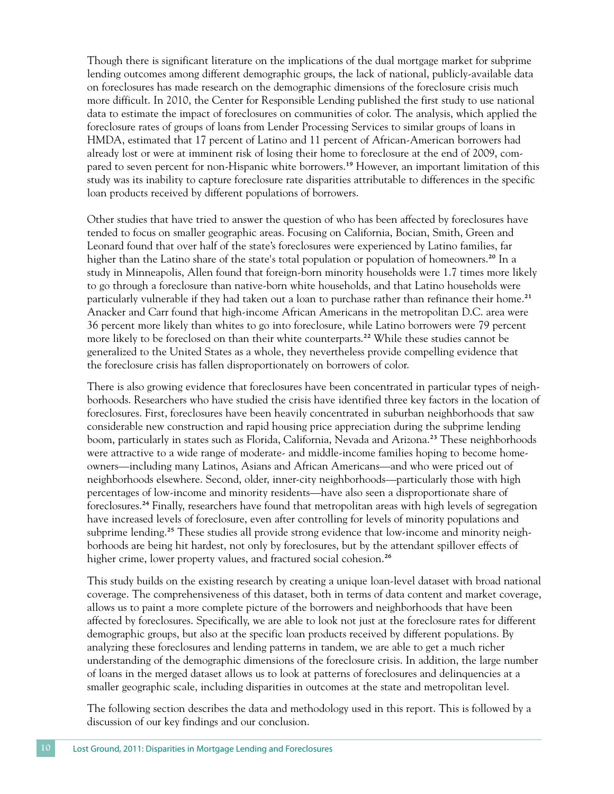Though there is significant literature on the implications of the dual mortgage market for subprime lending outcomes among different demographic groups, the lack of national, publicly-available data on foreclosures has made research on the demographic dimensions of the foreclosure crisis much more difficult. In 2010, the Center for Responsible Lending published the first study to use national data to estimate the impact of foreclosures on communities of color. The analysis, which applied the foreclosure rates of groups of loans from Lender Processing Services to similar groups of loans in HMDA, estimated that 17 percent of Latino and 11 percent of African-American borrowers had already lost or were at imminent risk of losing their home to foreclosure at the end of 2009, compared to seven percent for non-Hispanic white borrowers.19 However, an important limitation of this study was its inability to capture foreclosure rate disparities attributable to differences in the specific loan products received by different populations of borrowers.

Other studies that have tried to answer the question of who has been affected by foreclosures have tended to focus on smaller geographic areas. Focusing on California, Bocian, Smith, Green and Leonard found that over half of the state's foreclosures were experienced by Latino families, far higher than the Latino share of the state's total population or population of homeowners.<sup>20</sup> In a study in Minneapolis, Allen found that foreign-born minority households were 1.7 times more likely to go through a foreclosure than native-born white households, and that Latino households were particularly vulnerable if they had taken out a loan to purchase rather than refinance their home.<sup>21</sup> Anacker and Carr found that high-income African Americans in the metropolitan D.C. area were 36 percent more likely than whites to go into foreclosure, while Latino borrowers were 79 percent more likely to be foreclosed on than their white counterparts.<sup>22</sup> While these studies cannot be generalized to the United States as a whole, they nevertheless provide compelling evidence that the foreclosure crisis has fallen disproportionately on borrowers of color.

There is also growing evidence that foreclosures have been concentrated in particular types of neighborhoods. Researchers who have studied the crisis have identified three key factors in the location of foreclosures. First, foreclosures have been heavily concentrated in suburban neighborhoods that saw considerable new construction and rapid housing price appreciation during the subprime lending boom, particularly in states such as Florida, California, Nevada and Arizona.23 These neighborhoods were attractive to a wide range of moderate- and middle-income families hoping to become homeowners—including many Latinos, Asians and African Americans—and who were priced out of neighborhoods elsewhere. Second, older, inner-city neighborhoods—particularly those with high percentages of low-income and minority residents—have also seen a disproportionate share of foreclosures.24 Finally, researchers have found that metropolitan areas with high levels of segregation have increased levels of foreclosure, even after controlling for levels of minority populations and subprime lending.<sup>25</sup> These studies all provide strong evidence that low-income and minority neighborhoods are being hit hardest, not only by foreclosures, but by the attendant spillover effects of higher crime, lower property values, and fractured social cohesion.<sup>26</sup>

This study builds on the existing research by creating a unique loan-level dataset with broad national coverage. The comprehensiveness of this dataset, both in terms of data content and market coverage, allows us to paint a more complete picture of the borrowers and neighborhoods that have been affected by foreclosures. Specifically, we are able to look not just at the foreclosure rates for different demographic groups, but also at the specific loan products received by different populations. By analyzing these foreclosures and lending patterns in tandem, we are able to get a much richer understanding of the demographic dimensions of the foreclosure crisis. In addition, the large number of loans in the merged dataset allows us to look at patterns of foreclosures and delinquencies at a smaller geographic scale, including disparities in outcomes at the state and metropolitan level.

The following section describes the data and methodology used in this report. This is followed by a discussion of our key findings and our conclusion.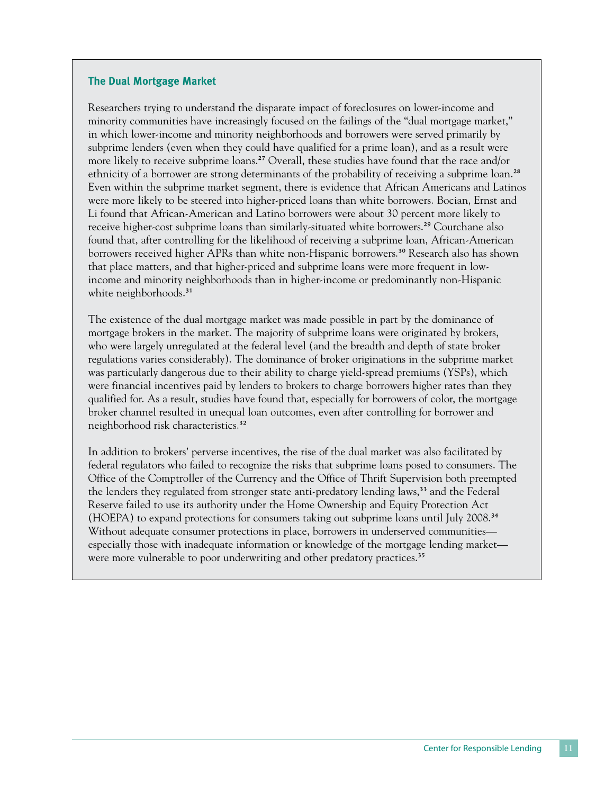#### **The Dual Mortgage Market**

Researchers trying to understand the disparate impact of foreclosures on lower-income and minority communities have increasingly focused on the failings of the "dual mortgage market," in which lower-income and minority neighborhoods and borrowers were served primarily by subprime lenders (even when they could have qualified for a prime loan), and as a result were more likely to receive subprime loans.<sup>27</sup> Overall, these studies have found that the race and/or ethnicity of a borrower are strong determinants of the probability of receiving a subprime loan.<sup>28</sup> Even within the subprime market segment, there is evidence that African Americans and Latinos were more likely to be steered into higher-priced loans than white borrowers. Bocian, Ernst and Li found that African-American and Latino borrowers were about 30 percent more likely to receive higher-cost subprime loans than similarly-situated white borrowers.<sup>29</sup> Courchane also found that, after controlling for the likelihood of receiving a subprime loan, African-American borrowers received higher APRs than white non-Hispanic borrowers.<sup>30</sup> Research also has shown that place matters, and that higher-priced and subprime loans were more frequent in lowincome and minority neighborhoods than in higher-income or predominantly non-Hispanic white neighborhoods.<sup>31</sup>

The existence of the dual mortgage market was made possible in part by the dominance of mortgage brokers in the market. The majority of subprime loans were originated by brokers, who were largely unregulated at the federal level (and the breadth and depth of state broker regulations varies considerably). The dominance of broker originations in the subprime market was particularly dangerous due to their ability to charge yield-spread premiums (YSPs), which were financial incentives paid by lenders to brokers to charge borrowers higher rates than they qualified for. As a result, studies have found that, especially for borrowers of color, the mortgage broker channel resulted in unequal loan outcomes, even after controlling for borrower and neighborhood risk characteristics.32

In addition to brokers' perverse incentives, the rise of the dual market was also facilitated by federal regulators who failed to recognize the risks that subprime loans posed to consumers. The Office of the Comptroller of the Currency and the Office of Thrift Supervision both preempted the lenders they regulated from stronger state anti-predatory lending laws,<sup>33</sup> and the Federal Reserve failed to use its authority under the Home Ownership and Equity Protection Act (HOEPA) to expand protections for consumers taking out subprime loans until July 2008.34 Without adequate consumer protections in place, borrowers in underserved communities especially those with inadequate information or knowledge of the mortgage lending market were more vulnerable to poor underwriting and other predatory practices.<sup>35</sup>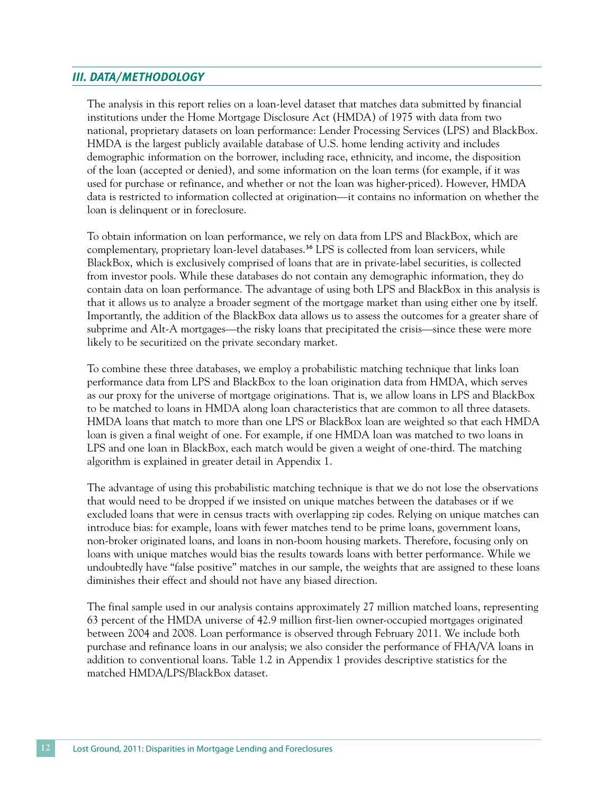## *III. Data/Methodology*

The analysis in this report relies on a loan-level dataset that matches data submitted by financial institutions under the Home Mortgage Disclosure Act (HMDA) of 1975 with data from two national, proprietary datasets on loan performance: Lender Processing Services (LPS) and BlackBox. HMDA is the largest publicly available database of U.S. home lending activity and includes demographic information on the borrower, including race, ethnicity, and income, the disposition of the loan (accepted or denied), and some information on the loan terms (for example, if it was used for purchase or refinance, and whether or not the loan was higher-priced). However, HMDA data is restricted to information collected at origination—it contains no information on whether the loan is delinquent or in foreclosure.

To obtain information on loan performance, we rely on data from LPS and BlackBox, which are complementary, proprietary loan-level databases.<sup>36</sup> LPS is collected from loan servicers, while BlackBox, which is exclusively comprised of loans that are in private-label securities, is collected from investor pools. While these databases do not contain any demographic information, they do contain data on loan performance. The advantage of using both LPS and BlackBox in this analysis is that it allows us to analyze a broader segment of the mortgage market than using either one by itself. Importantly, the addition of the BlackBox data allows us to assess the outcomes for a greater share of subprime and Alt-A mortgages—the risky loans that precipitated the crisis—since these were more likely to be securitized on the private secondary market.

To combine these three databases, we employ a probabilistic matching technique that links loan performance data from LPS and BlackBox to the loan origination data from HMDA, which serves as our proxy for the universe of mortgage originations. That is, we allow loans in LPS and BlackBox to be matched to loans in HMDA along loan characteristics that are common to all three datasets. HMDA loans that match to more than one LPS or BlackBox loan are weighted so that each HMDA loan is given a final weight of one. For example, if one HMDA loan was matched to two loans in LPS and one loan in BlackBox, each match would be given a weight of one-third. The matching algorithm is explained in greater detail in Appendix 1.

The advantage of using this probabilistic matching technique is that we do not lose the observations that would need to be dropped if we insisted on unique matches between the databases or if we excluded loans that were in census tracts with overlapping zip codes. Relying on unique matches can introduce bias: for example, loans with fewer matches tend to be prime loans, government loans, non-broker originated loans, and loans in non-boom housing markets. Therefore, focusing only on loans with unique matches would bias the results towards loans with better performance. While we undoubtedly have "false positive" matches in our sample, the weights that are assigned to these loans diminishes their effect and should not have any biased direction.

The final sample used in our analysis contains approximately 27 million matched loans, representing 63 percent of the HMDA universe of 42.9 million first-lien owner-occupied mortgages originated between 2004 and 2008. Loan performance is observed through February 2011. We include both purchase and refinance loans in our analysis; we also consider the performance of FHA/VA loans in addition to conventional loans. Table 1.2 in Appendix 1 provides descriptive statistics for the matched HMDA/LPS/BlackBox dataset.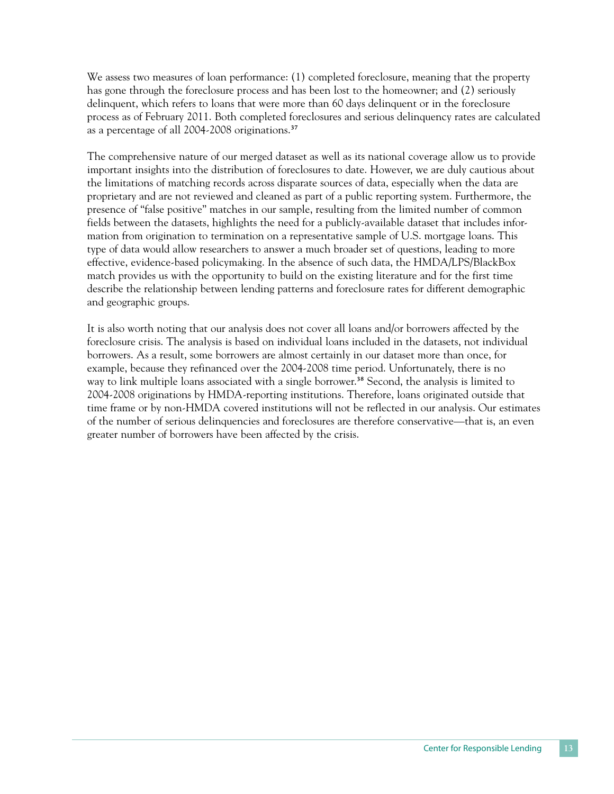We assess two measures of loan performance: (1) completed foreclosure, meaning that the property has gone through the foreclosure process and has been lost to the homeowner; and (2) seriously delinquent, which refers to loans that were more than 60 days delinquent or in the foreclosure process as of February 2011. Both completed foreclosures and serious delinquency rates are calculated as a percentage of all 2004-2008 originations.37

The comprehensive nature of our merged dataset as well as its national coverage allow us to provide important insights into the distribution of foreclosures to date. However, we are duly cautious about the limitations of matching records across disparate sources of data, especially when the data are proprietary and are not reviewed and cleaned as part of a public reporting system. Furthermore, the presence of "false positive" matches in our sample, resulting from the limited number of common fields between the datasets, highlights the need for a publicly-available dataset that includes information from origination to termination on a representative sample of U.S. mortgage loans. This type of data would allow researchers to answer a much broader set of questions, leading to more effective, evidence-based policymaking. In the absence of such data, the HMDA/LPS/BlackBox match provides us with the opportunity to build on the existing literature and for the first time describe the relationship between lending patterns and foreclosure rates for different demographic and geographic groups.

It is also worth noting that our analysis does not cover all loans and/or borrowers affected by the foreclosure crisis. The analysis is based on individual loans included in the datasets, not individual borrowers. As a result, some borrowers are almost certainly in our dataset more than once, for example, because they refinanced over the 2004-2008 time period. Unfortunately, there is no way to link multiple loans associated with a single borrower.<sup>38</sup> Second, the analysis is limited to 2004-2008 originations by HMDA-reporting institutions. Therefore, loans originated outside that time frame or by non-HMDA covered institutions will not be reflected in our analysis. Our estimates of the number of serious delinquencies and foreclosures are therefore conservative—that is, an even greater number of borrowers have been affected by the crisis.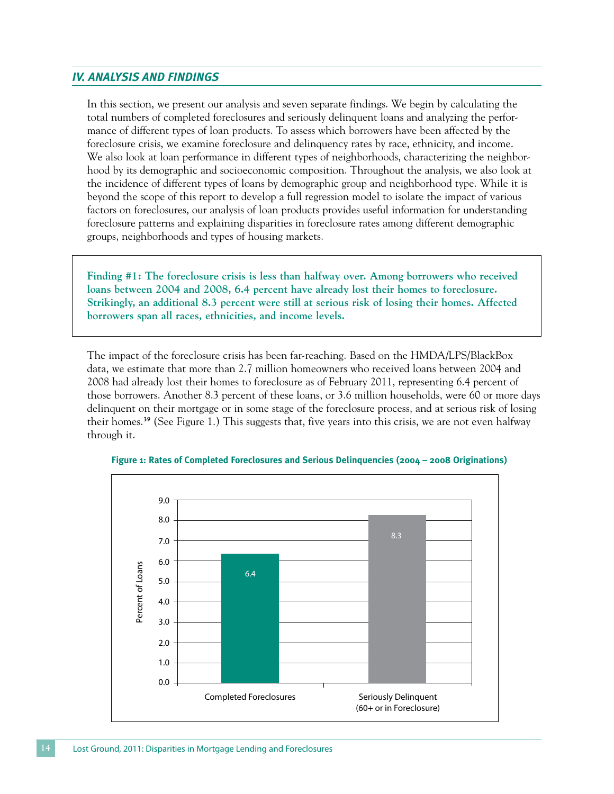## *IV. Analysis and Findings*

In this section, we present our analysis and seven separate findings. We begin by calculating the total numbers of completed foreclosures and seriously delinquent loans and analyzing the performance of different types of loan products. To assess which borrowers have been affected by the foreclosure crisis, we examine foreclosure and delinquency rates by race, ethnicity, and income. We also look at loan performance in different types of neighborhoods, characterizing the neighborhood by its demographic and socioeconomic composition. Throughout the analysis, we also look at the incidence of different types of loans by demographic group and neighborhood type. While it is beyond the scope of this report to develop a full regression model to isolate the impact of various factors on foreclosures, our analysis of loan products provides useful information for understanding foreclosure patterns and explaining disparities in foreclosure rates among different demographic groups, neighborhoods and types of housing markets.

**Finding #1: The foreclosure crisis is less than halfway over. Among borrowers who received loans between 2004 and 2008, 6.4 percent have already lost their homes to foreclosure. Strikingly, an additional 8.3 percent were still at serious risk of losing their homes. Affected borrowers span all races, ethnicities, and income levels.** 

The impact of the foreclosure crisis has been far-reaching. Based on the HMDA/LPS/BlackBox data, we estimate that more than 2.7 million homeowners who received loans between 2004 and 2008 had already lost their homes to foreclosure as of February 2011, representing 6.4 percent of those borrowers. Another 8.3 percent of these loans, or 3.6 million households, were 60 or more days delinquent on their mortgage or in some stage of the foreclosure process, and at serious risk of losing their homes.39 (See Figure 1.) This suggests that, five years into this crisis, we are not even halfway through it.



**Figure 1: Rates of Completed Foreclosures and Serious Delinquencies (2004 – 2008 Originations)**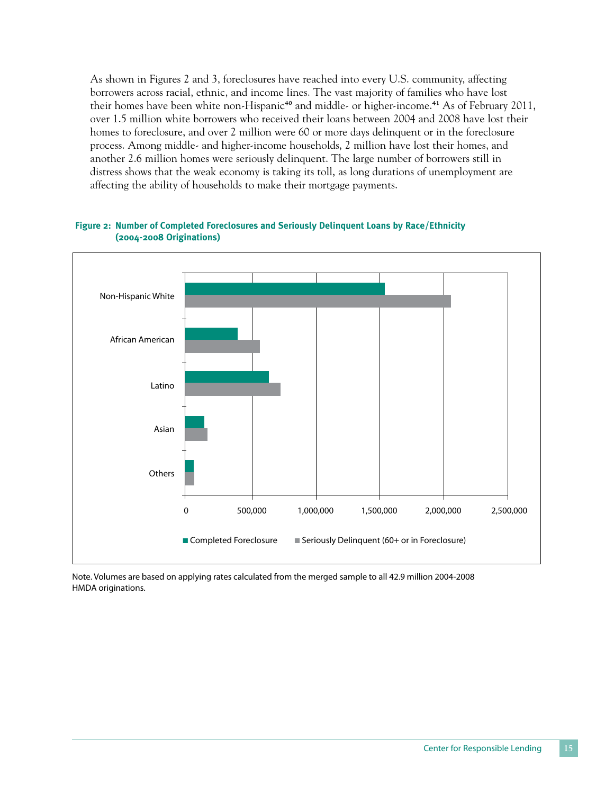As shown in Figures 2 and 3, foreclosures have reached into every U.S. community, affecting borrowers across racial, ethnic, and income lines. The vast majority of families who have lost their homes have been white non-Hispanic<sup>40</sup> and middle- or higher-income.<sup>41</sup> As of February 2011, over 1.5 million white borrowers who received their loans between 2004 and 2008 have lost their homes to foreclosure, and over 2 million were 60 or more days delinquent or in the foreclosure process. Among middle- and higher-income households, 2 million have lost their homes, and another 2.6 million homes were seriously delinquent. The large number of borrowers still in distress shows that the weak economy is taking its toll, as long durations of unemployment are affecting the ability of households to make their mortgage payments.



#### **Figure 2: Number of Completed Foreclosures and Seriously Delinquent Loans by Race/Ethnicity (2004-2008 Originations)**

Note. Volumes are based on applying rates calculated from the merged sample to all 42.9 million 2004-2008 HMDA originations.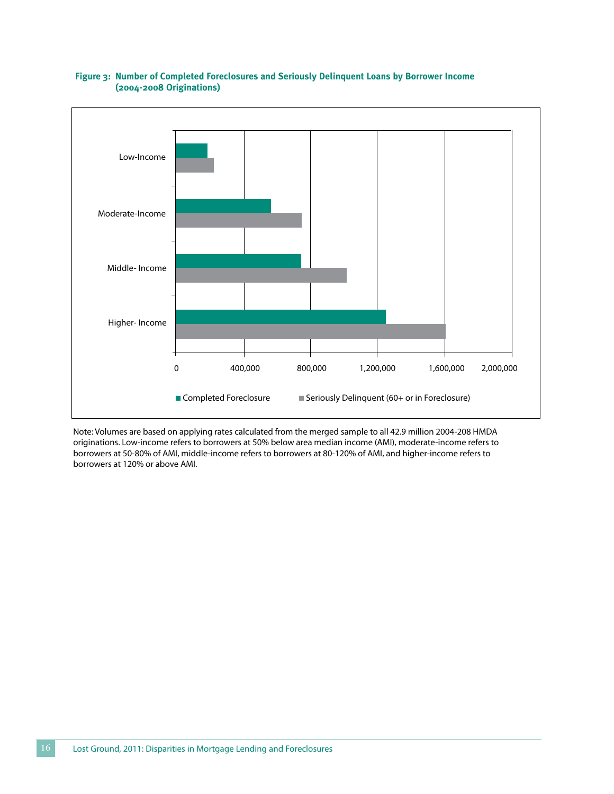

#### **Figure 3: Number of Completed Foreclosures and Seriously Delinquent Loans by Borrower Income (2004-2008 Originations)**

Note: Volumes are based on applying rates calculated from the merged sample to all 42.9 million 2004-208 HMDA originations. Low-income refers to borrowers at 50% below area median income (AMI), moderate-income refers to borrowers at 50-80% of AMI, middle-income refers to borrowers at 80-120% of AMI, and higher-income refers to borrowers at 120% or above AMI.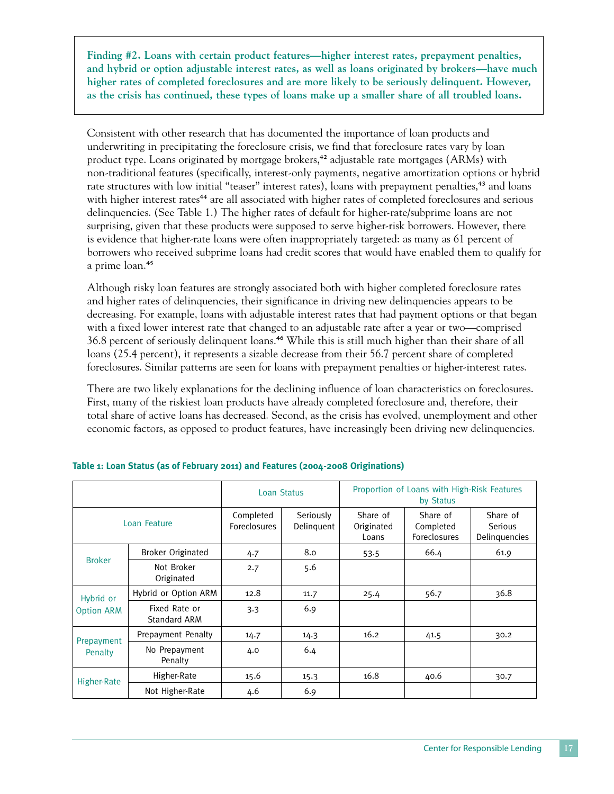**Finding #2. Loans with certain product features—higher interest rates, prepayment penalties, and hybrid or option adjustable interest rates, as well as loans originated by brokers—have much higher rates of completed foreclosures and are more likely to be seriously delinquent. However, as the crisis has continued, these types of loans make up a smaller share of all troubled loans.**

Consistent with other research that has documented the importance of loan products and underwriting in precipitating the foreclosure crisis, we find that foreclosure rates vary by loan product type. Loans originated by mortgage brokers,<sup>42</sup> adjustable rate mortgages (ARMs) with non-traditional features (specifically, interest-only payments, negative amortization options or hybrid rate structures with low initial "teaser" interest rates), loans with prepayment penalties,<sup>43</sup> and loans with higher interest rates<sup>44</sup> are all associated with higher rates of completed foreclosures and serious delinquencies. (See Table 1.) The higher rates of default for higher-rate/subprime loans are not surprising, given that these products were supposed to serve higher-risk borrowers. However, there is evidence that higher-rate loans were often inappropriately targeted: as many as 61 percent of borrowers who received subprime loans had credit scores that would have enabled them to qualify for a prime loan.45

Although risky loan features are strongly associated both with higher completed foreclosure rates and higher rates of delinquencies, their significance in driving new delinquencies appears to be decreasing. For example, loans with adjustable interest rates that had payment options or that began with a fixed lower interest rate that changed to an adjustable rate after a year or two—comprised 36.8 percent of seriously delinquent loans.46 While this is still much higher than their share of all loans (25.4 percent), it represents a sizable decrease from their 56.7 percent share of completed foreclosures. Similar patterns are seen for loans with prepayment penalties or higher-interest rates.

There are two likely explanations for the declining influence of loan characteristics on foreclosures. First, many of the riskiest loan products have already completed foreclosure and, therefore, their total share of active loans has decreased. Second, as the crisis has evolved, unemployment and other economic factors, as opposed to product features, have increasingly been driving new delinquencies.

|                                |                                      | Loan Status                      |                         | Proportion of Loans with High-Risk Features<br>by Status |                                       |                                             |  |
|--------------------------------|--------------------------------------|----------------------------------|-------------------------|----------------------------------------------------------|---------------------------------------|---------------------------------------------|--|
| Loan Feature                   |                                      | Completed<br><b>Foreclosures</b> | Seriously<br>Delinguent | Share of<br>Originated<br>Loans                          | Share of<br>Completed<br>Foreclosures | Share of<br><b>Serious</b><br>Delinquencies |  |
|                                | <b>Broker Originated</b>             | 4.7                              | 8.0                     | 53.5                                                     | 66.4                                  | 61.9                                        |  |
| <b>Broker</b>                  | Not Broker<br>Originated             | 2.7                              | 5.6                     |                                                          |                                       |                                             |  |
| Hybrid or<br><b>Option ARM</b> | Hybrid or Option ARM                 | 12.8                             | 11.7                    | 25.4                                                     | 56.7                                  | 36.8                                        |  |
|                                | Fixed Rate or<br><b>Standard ARM</b> | 3.3                              | 6.9                     |                                                          |                                       |                                             |  |
| Prepayment                     | Prepayment Penalty                   | 14.7                             | 14.3                    | 16.2                                                     | 41.5                                  | 30.2                                        |  |
| Penalty                        | No Prepayment<br>Penalty             | 4.0                              | 6.4                     |                                                          |                                       |                                             |  |
|                                | Higher-Rate                          | 15.6                             | 15.3                    | 16.8                                                     | 40.6                                  | 30.7                                        |  |
| Higher-Rate                    | Not Higher-Rate                      | 4.6                              | 6.9                     |                                                          |                                       |                                             |  |

## **Table 1: Loan Status (as of February 2011) and Features (2004-2008 Originations)**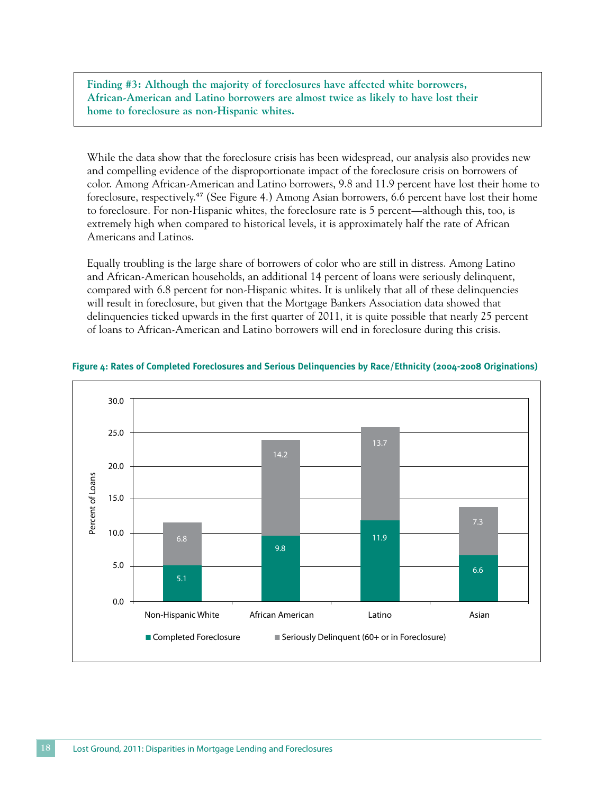**Finding #3: Although the majority of foreclosures have affected white borrowers, African-American and Latino borrowers are almost twice as likely to have lost their home to foreclosure as non-Hispanic whites.** 

While the data show that the foreclosure crisis has been widespread, our analysis also provides new and compelling evidence of the disproportionate impact of the foreclosure crisis on borrowers of color. Among African-American and Latino borrowers, 9.8 and 11.9 percent have lost their home to foreclosure, respectively.47 (See Figure 4.) Among Asian borrowers, 6.6 percent have lost their home to foreclosure. For non-Hispanic whites, the foreclosure rate is 5 percent—although this, too, is extremely high when compared to historical levels, it is approximately half the rate of African Americans and Latinos.

Equally troubling is the large share of borrowers of color who are still in distress. Among Latino and African-American households, an additional 14 percent of loans were seriously delinquent, compared with 6.8 percent for non-Hispanic whites. It is unlikely that all of these delinquencies will result in foreclosure, but given that the Mortgage Bankers Association data showed that delinquencies ticked upwards in the first quarter of 2011, it is quite possible that nearly 25 percent of loans to African-American and Latino borrowers will end in foreclosure during this crisis.



#### **Figure 4: Rates of Completed Foreclosures and Serious Delinquencies by Race/Ethnicity (2004-2008 Originations)**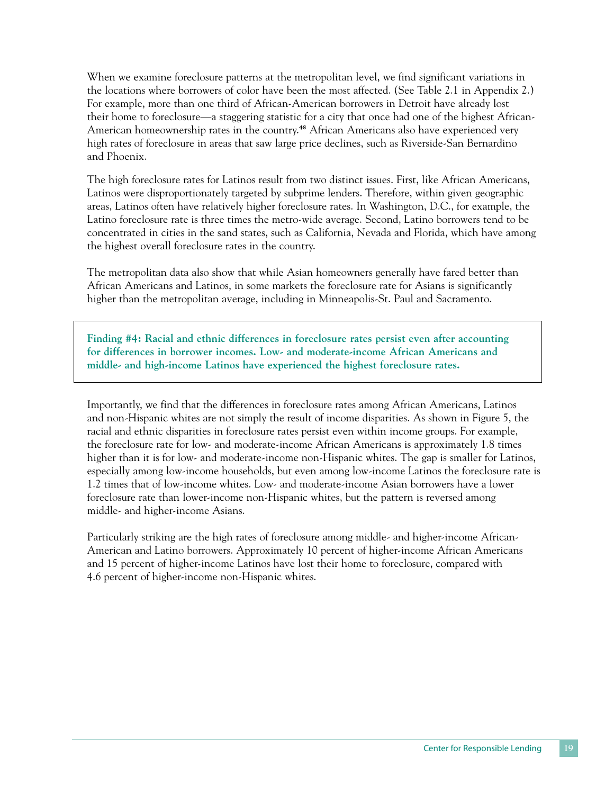When we examine foreclosure patterns at the metropolitan level, we find significant variations in the locations where borrowers of color have been the most affected. (See Table 2.1 in Appendix 2.) For example, more than one third of African-American borrowers in Detroit have already lost their home to foreclosure—a staggering statistic for a city that once had one of the highest African-American homeownership rates in the country.48 African Americans also have experienced very high rates of foreclosure in areas that saw large price declines, such as Riverside-San Bernardino and Phoenix.

The high foreclosure rates for Latinos result from two distinct issues. First, like African Americans, Latinos were disproportionately targeted by subprime lenders. Therefore, within given geographic areas, Latinos often have relatively higher foreclosure rates. In Washington, D.C., for example, the Latino foreclosure rate is three times the metro-wide average. Second, Latino borrowers tend to be concentrated in cities in the sand states, such as California, Nevada and Florida, which have among the highest overall foreclosure rates in the country.

The metropolitan data also show that while Asian homeowners generally have fared better than African Americans and Latinos, in some markets the foreclosure rate for Asians is significantly higher than the metropolitan average, including in Minneapolis-St. Paul and Sacramento.

**Finding #4: Racial and ethnic differences in foreclosure rates persist even after accounting for differences in borrower incomes. Low- and moderate-income African Americans and middle- and high-income Latinos have experienced the highest foreclosure rates.**

Importantly, we find that the differences in foreclosure rates among African Americans, Latinos and non-Hispanic whites are not simply the result of income disparities. As shown in Figure 5, the racial and ethnic disparities in foreclosure rates persist even within income groups. For example, the foreclosure rate for low- and moderate-income African Americans is approximately 1.8 times higher than it is for low- and moderate-income non-Hispanic whites. The gap is smaller for Latinos, especially among low-income households, but even among low-income Latinos the foreclosure rate is 1.2 times that of low-income whites. Low- and moderate-income Asian borrowers have a lower foreclosure rate than lower-income non-Hispanic whites, but the pattern is reversed among middle- and higher-income Asians.

Particularly striking are the high rates of foreclosure among middle- and higher-income African-American and Latino borrowers. Approximately 10 percent of higher-income African Americans and 15 percent of higher-income Latinos have lost their home to foreclosure, compared with 4.6 percent of higher-income non-Hispanic whites.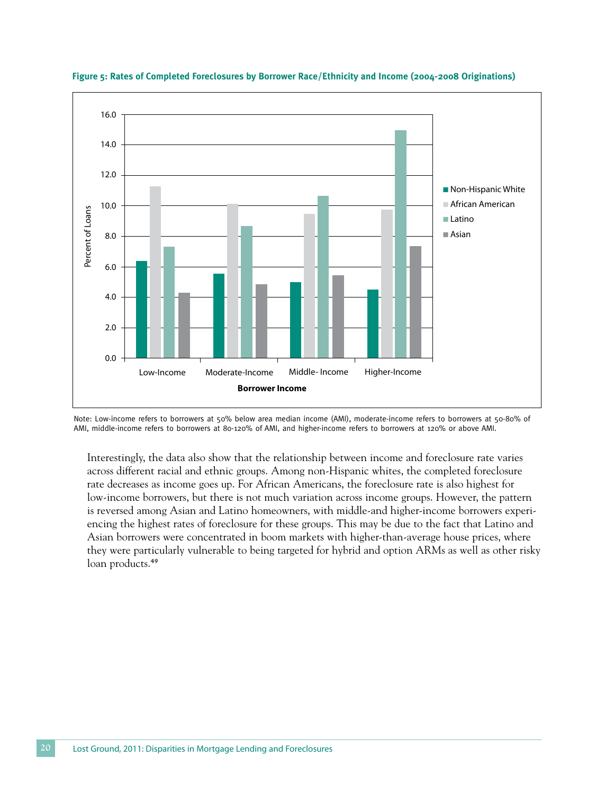

**Figure 5: Rates of Completed Foreclosures by Borrower Race/Ethnicity and Income (2004-2008 Originations)**

Note: Low-income refers to borrowers at 50% below area median income (AMI), moderate-income refers to borrowers at 50-80% of

Interestingly, the data also show that the relationship between income and foreclosure rate varies across different racial and ethnic groups. Among non-Hispanic whites, the completed foreclosure rate decreases as income goes up. For African Americans, the foreclosure rate is also highest for low-income borrowers, but there is not much variation across income groups. However, the pattern is reversed among Asian and Latino homeowners, with middle-and higher-income borrowers experiencing the highest rates of foreclosure for these groups. This may be due to the fact that Latino and Asian borrowers were concentrated in boom markets with higher-than-average house prices, where they were particularly vulnerable to being targeted for hybrid and option ARMs as well as other risky loan products.<sup>49</sup>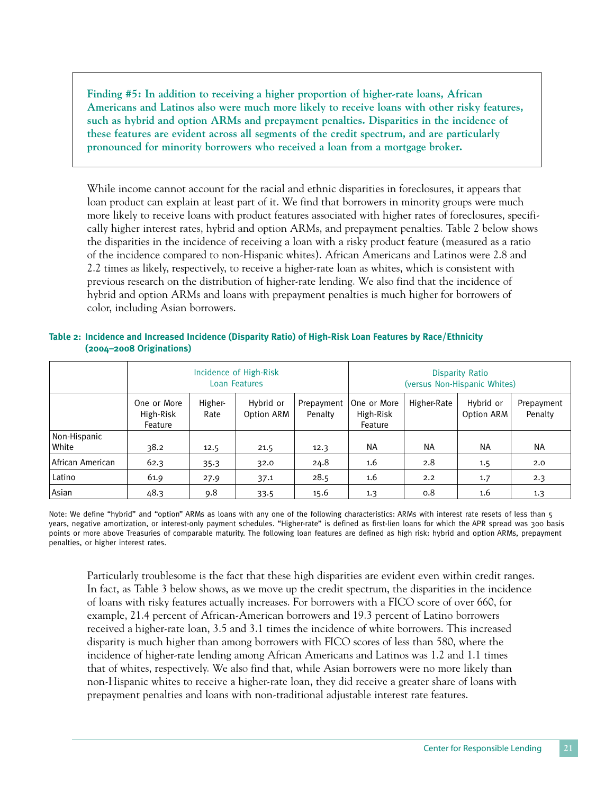**Finding #5: In addition to receiving a higher proportion of higher-rate loans, African Americans and Latinos also were much more likely to receive loans with other risky features, such as hybrid and option ARMs and prepayment penalties. Disparities in the incidence of these features are evident across all segments of the credit spectrum, and are particularly pronounced for minority borrowers who received a loan from a mortgage broker.**

While income cannot account for the racial and ethnic disparities in foreclosures, it appears that loan product can explain at least part of it. We find that borrowers in minority groups were much more likely to receive loans with product features associated with higher rates of foreclosures, specifically higher interest rates, hybrid and option ARMs, and prepayment penalties. Table 2 below shows the disparities in the incidence of receiving a loan with a risky product feature (measured as a ratio of the incidence compared to non-Hispanic whites). African Americans and Latinos were 2.8 and 2.2 times as likely, respectively, to receive a higher-rate loan as whites, which is consistent with previous research on the distribution of higher-rate lending. We also find that the incidence of hybrid and option ARMs and loans with prepayment penalties is much higher for borrowers of color, including Asian borrowers.

| Table 2: Incidence and Increased Incidence (Disparity Ratio) of High-Risk Loan Features by Race/Ethnicity |  |  |
|-----------------------------------------------------------------------------------------------------------|--|--|
| $(2004 - 2008)$ Originations)                                                                             |  |  |

|                       | Incidence of High-Risk<br><b>Loan Features</b> |                 |                         |                       | <b>Disparity Ratio</b><br>(versus Non-Hispanic Whites) |             |                         |                       |
|-----------------------|------------------------------------------------|-----------------|-------------------------|-----------------------|--------------------------------------------------------|-------------|-------------------------|-----------------------|
|                       | One or More<br>High-Risk<br>Feature            | Higher-<br>Rate | Hybrid or<br>Option ARM | Prepayment<br>Penalty | One or More<br>High-Risk<br>Feature                    | Higher-Rate | Hybrid or<br>Option ARM | Prepayment<br>Penalty |
| Non-Hispanic<br>White | 38.2                                           | 12.5            | 21.5                    | 12.3                  | NA.                                                    | <b>NA</b>   | <b>NA</b>               | <b>NA</b>             |
| African American      | 62.3                                           | 35.3            | 32.0                    | 24.8                  | 1.6                                                    | 2.8         | 1.5                     | 2.0                   |
| Latino                | 61.9                                           | 27.9            | 37.1                    | 28.5                  | 1.6                                                    | 2.2         | 1.7                     | 2.3                   |
| Asian                 | 48.3                                           | 9.8             | 33.5                    | 15.6                  | 1.3                                                    | 0.8         | 1.6                     | 1.3                   |

Note: We define "hybrid" and "option" ARMs as loans with any one of the following characteristics: ARMs with interest rate resets of less than 5 years, negative amortization, or interest-only payment schedules. "Higher-rate" is defined as first-lien loans for which the APR spread was 300 basis points or more above Treasuries of comparable maturity. The following loan features are defined as high risk: hybrid and option ARMs, prepayment penalties, or higher interest rates.

Particularly troublesome is the fact that these high disparities are evident even within credit ranges. In fact, as Table 3 below shows, as we move up the credit spectrum, the disparities in the incidence of loans with risky features actually increases. For borrowers with a FICO score of over 660, for example, 21.4 percent of African-American borrowers and 19.3 percent of Latino borrowers received a higher-rate loan, 3.5 and 3.1 times the incidence of white borrowers. This increased disparity is much higher than among borrowers with FICO scores of less than 580, where the incidence of higher-rate lending among African Americans and Latinos was 1.2 and 1.1 times that of whites, respectively. We also find that, while Asian borrowers were no more likely than non-Hispanic whites to receive a higher-rate loan, they did receive a greater share of loans with prepayment penalties and loans with non-traditional adjustable interest rate features.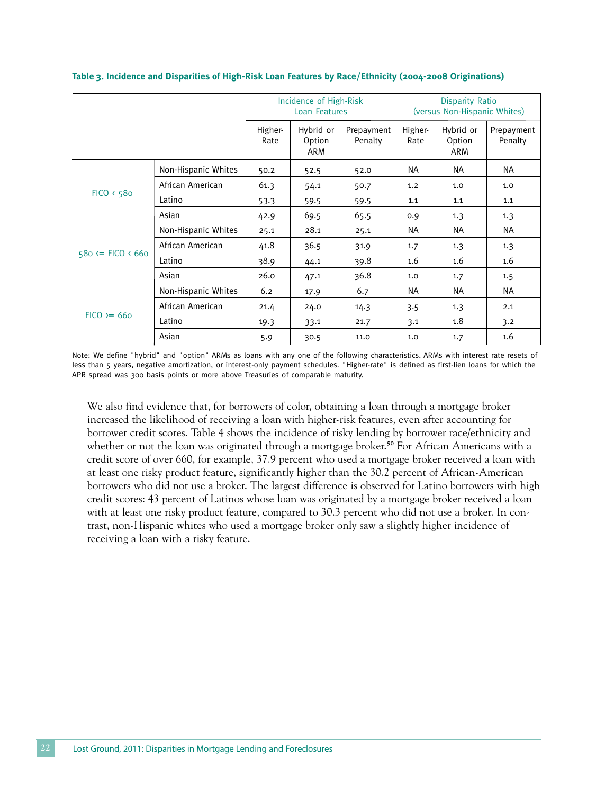|                            |                     | Incidence of High-Risk<br><b>Loan Features</b> |                                   |                       | <b>Disparity Ratio</b><br>(versus Non-Hispanic Whites) |                                   |                       |
|----------------------------|---------------------|------------------------------------------------|-----------------------------------|-----------------------|--------------------------------------------------------|-----------------------------------|-----------------------|
|                            |                     | Higher-<br>Rate                                | Hybrid or<br>Option<br><b>ARM</b> | Prepayment<br>Penalty | Higher-<br>Rate                                        | Hybrid or<br>Option<br><b>ARM</b> | Prepayment<br>Penalty |
|                            | Non-Hispanic Whites | 50.2                                           | 52.5                              | 52.0                  | NА                                                     | NA                                | <b>NA</b>             |
|                            | African American    | 61.3                                           | 54.1                              | 50.7                  | 1.2                                                    | 1.0                               | 1.0                   |
| FICO 6580                  | Latino              | 53.3                                           | 59.5                              | 59.5                  | 1.1                                                    | 1.1                               | 1.1                   |
|                            | Asian               | 42.9                                           | 69.5                              | 65.5                  | 0.9                                                    | 1.3                               | 1.3                   |
|                            | Non-Hispanic Whites | 25.1                                           | 28.1                              | 25.1                  | NА                                                     | <b>NA</b>                         | <b>NA</b>             |
|                            | African American    | 41.8                                           | 36.5                              | 31.9                  | 1.7                                                    | 1.3                               | 1.3                   |
| $580 \leq$ FICO $\leq 660$ | Latino              | 38.9                                           | 44.1                              | 39.8                  | 1.6                                                    | 1.6                               | 1.6                   |
|                            | Asian               | 26.0                                           | 47.1                              | 36.8                  | 1.0                                                    | 1.7                               | 1.5                   |
|                            | Non-Hispanic Whites | 6.2                                            | 17.9                              | 6.7                   | NA                                                     | NA.                               | <b>NA</b>             |
|                            | African American    | 21.4                                           | 24.0                              | 14.3                  | 3.5                                                    | 1.3                               | 2.1                   |
| $FICO = 660$               | Latino              | 19.3                                           | 33.1                              | 21.7                  | 3.1                                                    | 1.8                               | 3.2                   |
|                            | Asian               | 5.9                                            | 30.5                              | 11.0                  | 1.0                                                    | 1.7                               | 1.6                   |

#### **Table 3. Incidence and Disparities of High-Risk Loan Features by Race/Ethnicity (2004-2008 Originations)**

Note: We define "hybrid" and "option" ARMs as loans with any one of the following characteristics. ARMs with interest rate resets of less than 5 years, negative amortization, or interest-only payment schedules. "Higher-rate" is defined as first-lien loans for which the APR spread was 300 basis points or more above Treasuries of comparable maturity.

We also find evidence that, for borrowers of color, obtaining a loan through a mortgage broker increased the likelihood of receiving a loan with higher-risk features, even after accounting for borrower credit scores. Table 4 shows the incidence of risky lending by borrower race/ethnicity and whether or not the loan was originated through a mortgage broker.<sup>50</sup> For African Americans with a credit score of over 660, for example, 37.9 percent who used a mortgage broker received a loan with at least one risky product feature, significantly higher than the 30.2 percent of African-American borrowers who did not use a broker. The largest difference is observed for Latino borrowers with high credit scores: 43 percent of Latinos whose loan was originated by a mortgage broker received a loan with at least one risky product feature, compared to 30.3 percent who did not use a broker. In contrast, non-Hispanic whites who used a mortgage broker only saw a slightly higher incidence of receiving a loan with a risky feature.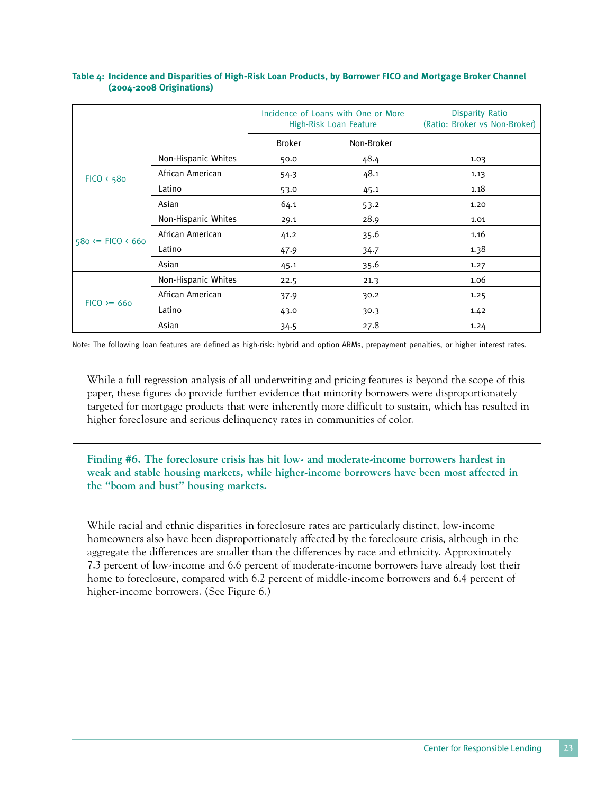|                            |                     |               | Incidence of Loans with One or More<br>High-Risk Loan Feature | <b>Disparity Ratio</b><br>(Ratio: Broker vs Non-Broker) |
|----------------------------|---------------------|---------------|---------------------------------------------------------------|---------------------------------------------------------|
|                            |                     | <b>Broker</b> | Non-Broker                                                    |                                                         |
|                            | Non-Hispanic Whites | 50.0          | 48.4                                                          | 1.03                                                    |
| FICO 6580                  | African American    | 54.3          | 48.1                                                          | 1.13                                                    |
|                            | Latino              | 53.0          | 45.1                                                          | 1.18                                                    |
|                            | Asian               | 64.1          | 53.2                                                          | 1.20                                                    |
|                            | Non-Hispanic Whites | 29.1          | 28.9                                                          | 1.01                                                    |
| $580 \leq$ FICO $\leq 660$ | African American    | 41.2          | 35.6                                                          | 1.16                                                    |
|                            | Latino              | 47.9          | 34.7                                                          | 1.38                                                    |
|                            | Asian               | 45.1          | 35.6                                                          | 1.27                                                    |
|                            | Non-Hispanic Whites | 22.5          | 21.3                                                          | 1.06                                                    |
|                            | African American    | 37.9          | 30.2                                                          | 1.25                                                    |
| $FICO = 660$               | Latino              | 43.0          | 30.3                                                          | 1.42                                                    |
|                            | Asian               | 34.5          | 27.8                                                          | 1.24                                                    |

#### **Table 4: Incidence and Disparities of High-Risk Loan Products, by Borrower FICO and Mortgage Broker Channel (2004-2008 Originations)**

Note: The following loan features are defined as high-risk: hybrid and option ARMs, prepayment penalties, or higher interest rates.

While a full regression analysis of all underwriting and pricing features is beyond the scope of this paper, these figures do provide further evidence that minority borrowers were disproportionately targeted for mortgage products that were inherently more difficult to sustain, which has resulted in higher foreclosure and serious delinquency rates in communities of color.

**Finding #6. The foreclosure crisis has hit low- and moderate-income borrowers hardest in weak and stable housing markets, while higher-income borrowers have been most affected in the "boom and bust" housing markets.**

While racial and ethnic disparities in foreclosure rates are particularly distinct, low-income homeowners also have been disproportionately affected by the foreclosure crisis, although in the aggregate the differences are smaller than the differences by race and ethnicity. Approximately 7.3 percent of low-income and 6.6 percent of moderate-income borrowers have already lost their home to foreclosure, compared with 6.2 percent of middle-income borrowers and 6.4 percent of higher-income borrowers. (See Figure 6.)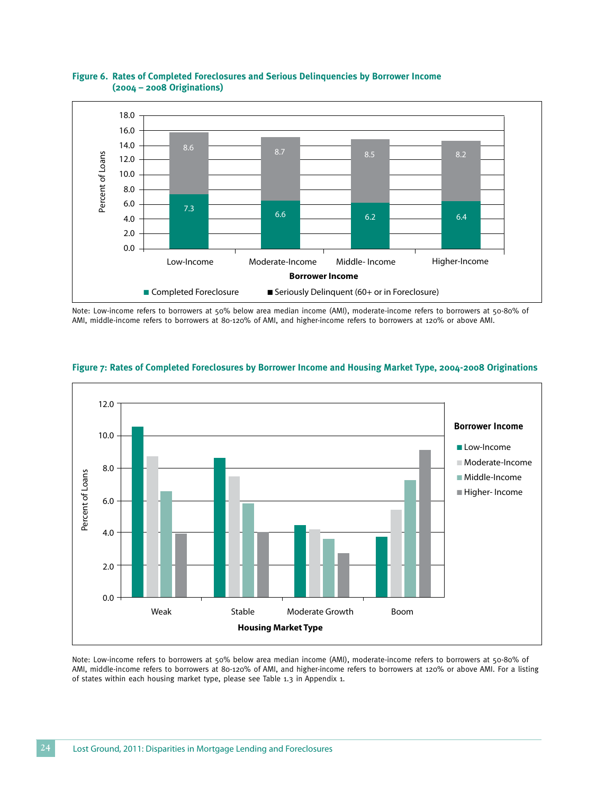

#### **Figure 6. Rates of Completed Foreclosures and Serious Delinquencies by Borrower Income (2004 – 2008 Originations)**

Note: Low-income refers to borrowers at 50% below area median income (AMI), moderate-income refers to borrowers at 50-80% of AMI, middle-income refers to borrowers at 80-120% of AMI, and higher-income refers to borrowers at 120% or above AMI.



#### **Figure 7: Rates of Completed Foreclosures by Borrower Income and Housing Market Type, 2004-2008 Originations**

Note: Low-income refers to borrowers at 50% below area median income (AMI), moderate-income refers to borrowers at 50-80% of AMI, middle-income refers to borrowers at 80-120% of AMI, and higher-income refers to borrowers at 120% or above AMI. For a listing of states within each housing market type, please see Table 1.3 in Appendix 1.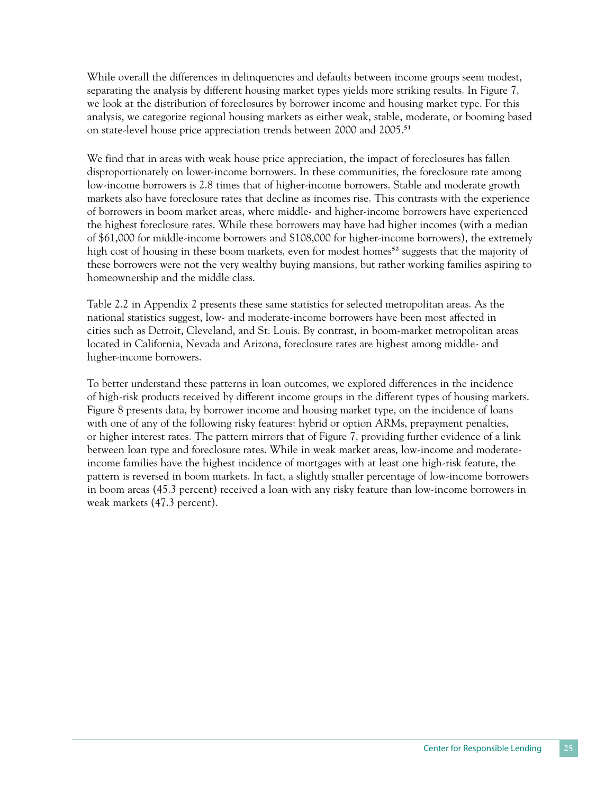While overall the differences in delinquencies and defaults between income groups seem modest, separating the analysis by different housing market types yields more striking results. In Figure 7, we look at the distribution of foreclosures by borrower income and housing market type. For this analysis, we categorize regional housing markets as either weak, stable, moderate, or booming based on state-level house price appreciation trends between 2000 and 2005.51

We find that in areas with weak house price appreciation, the impact of foreclosures has fallen disproportionately on lower-income borrowers. In these communities, the foreclosure rate among low-income borrowers is 2.8 times that of higher-income borrowers. Stable and moderate growth markets also have foreclosure rates that decline as incomes rise. This contrasts with the experience of borrowers in boom market areas, where middle- and higher-income borrowers have experienced the highest foreclosure rates. While these borrowers may have had higher incomes (with a median of \$61,000 for middle-income borrowers and \$108,000 for higher-income borrowers), the extremely high cost of housing in these boom markets, even for modest homes<sup>52</sup> suggests that the majority of these borrowers were not the very wealthy buying mansions, but rather working families aspiring to homeownership and the middle class.

Table 2.2 in Appendix 2 presents these same statistics for selected metropolitan areas. As the national statistics suggest, low- and moderate-income borrowers have been most affected in cities such as Detroit, Cleveland, and St. Louis. By contrast, in boom-market metropolitan areas located in California, Nevada and Arizona, foreclosure rates are highest among middle- and higher-income borrowers.

To better understand these patterns in loan outcomes, we explored differences in the incidence of high-risk products received by different income groups in the different types of housing markets. Figure 8 presents data, by borrower income and housing market type, on the incidence of loans with one of any of the following risky features: hybrid or option ARMs, prepayment penalties, or higher interest rates. The pattern mirrors that of Figure 7, providing further evidence of a link between loan type and foreclosure rates. While in weak market areas, low-income and moderateincome families have the highest incidence of mortgages with at least one high-risk feature, the pattern is reversed in boom markets. In fact, a slightly smaller percentage of low-income borrowers in boom areas (45.3 percent) received a loan with any risky feature than low-income borrowers in weak markets (47.3 percent).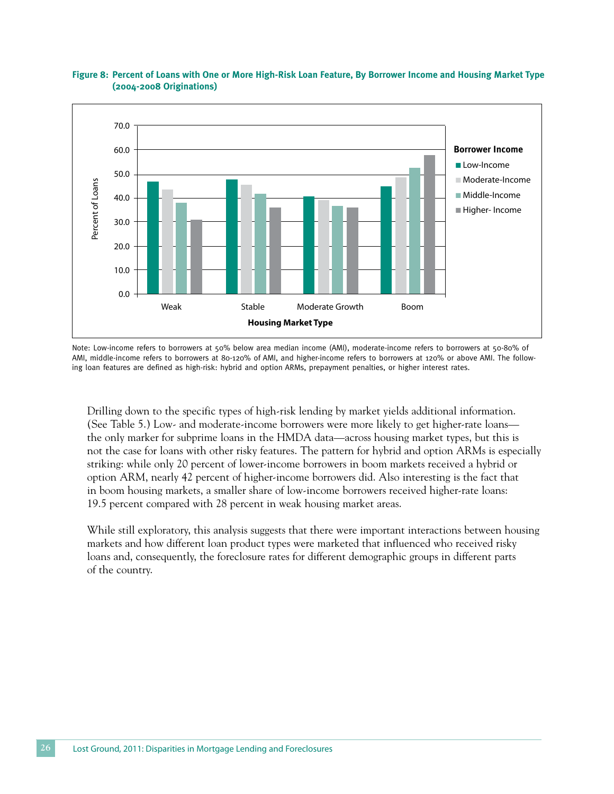

#### **Figure 8: Percent of Loans with One or More High-Risk Loan Feature, By Borrower Income and Housing Market Type (2004-2008 Originations)**

Note: Low-income refers to borrowers at 50% below area median income (AMI), moderate-income refers to borrowers at 50-80% of AMI, middle-income refers to borrowers at 80-120% of AMI, and higher-income refers to borrowers at 120% or above AMI. The following loan features are defined as high-risk: hybrid and option ARMs, prepayment penalties, or higher interest rates.

Drilling down to the specific types of high-risk lending by market yields additional information. (See Table 5.) Low- and moderate-income borrowers were more likely to get higher-rate loans the only marker for subprime loans in the HMDA data—across housing market types, but this is not the case for loans with other risky features. The pattern for hybrid and option ARMs is especially striking: while only 20 percent of lower-income borrowers in boom markets received a hybrid or option ARM, nearly 42 percent of higher-income borrowers did. Also interesting is the fact that in boom housing markets, a smaller share of low-income borrowers received higher-rate loans: 19.5 percent compared with 28 percent in weak housing market areas.

While still exploratory, this analysis suggests that there were important interactions between housing markets and how different loan product types were marketed that influenced who received risky loans and, consequently, the foreclosure rates for different demographic groups in different parts of the country.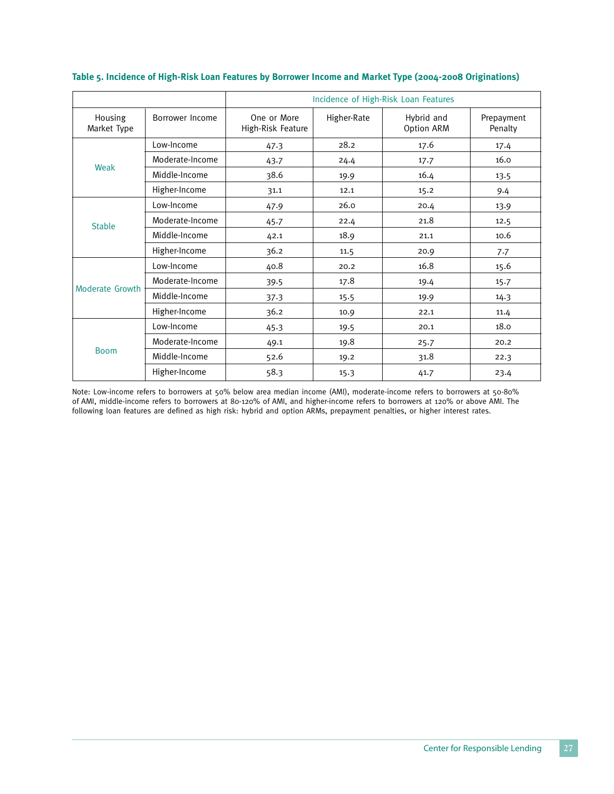|                        |                 | Incidence of High-Risk Loan Features |             |                          |                       |  |
|------------------------|-----------------|--------------------------------------|-------------|--------------------------|-----------------------|--|
| Housing<br>Market Type | Borrower Income | One or More<br>High-Risk Feature     | Higher-Rate | Hybrid and<br>Option ARM | Prepayment<br>Penalty |  |
|                        | Low-Income      | 47.3                                 | 28.2        | 17.6                     | 17.4                  |  |
|                        | Moderate-Income | 43.7                                 | 24.4        | 17.7                     | 16.0                  |  |
| Weak                   | Middle-Income   | 38.6                                 | 19.9        | 16.4                     | 13.5                  |  |
|                        | Higher-Income   | 31.1                                 | 12.1        | 15.2                     | 9.4                   |  |
|                        | Low-Income      | 47.9                                 | 26.0        | 20.4                     | 13.9                  |  |
| <b>Stable</b>          | Moderate-Income | 45.7                                 | 22.4        | 21.8                     | 12.5                  |  |
|                        | Middle-Income   | 42.1                                 | 18.9        | 21.1                     | 10.6                  |  |
|                        | Higher-Income   | 36.2                                 | 11.5        | 20.9                     | 7.7                   |  |
|                        | Low-Income      | 40.8                                 | 20.2        | 16.8                     | 15.6                  |  |
|                        | Moderate-Income | 39.5                                 | 17.8        | 19.4                     | 15.7                  |  |
| Moderate Growth        | Middle-Income   | 37.3                                 | 15.5        | 19.9                     | 14.3                  |  |
|                        | Higher-Income   | 36.2                                 | 10.9        | 22.1                     | 11.4                  |  |
|                        | Low-Income      | 45.3                                 | 19.5        | 20.1                     | 18.0                  |  |
|                        | Moderate-Income | 49.1                                 | 19.8        | 25.7                     | 20.2                  |  |
| <b>Boom</b>            | Middle-Income   | 52.6                                 | 19.2        | 31.8                     | 22.3                  |  |
|                        | Higher-Income   | 58.3                                 | 15.3        | 41.7                     | 23.4                  |  |

#### **Table 5. Incidence of High-Risk Loan Features by Borrower Income and Market Type (2004-2008 Originations)**

Note: Low-income refers to borrowers at 50% below area median income (AMI), moderate-income refers to borrowers at 50-80% of AMI, middle-income refers to borrowers at 80-120% of AMI, and higher-income refers to borrowers at 120% or above AMI. The following loan features are defined as high risk: hybrid and option ARMs, prepayment penalties, or higher interest rates.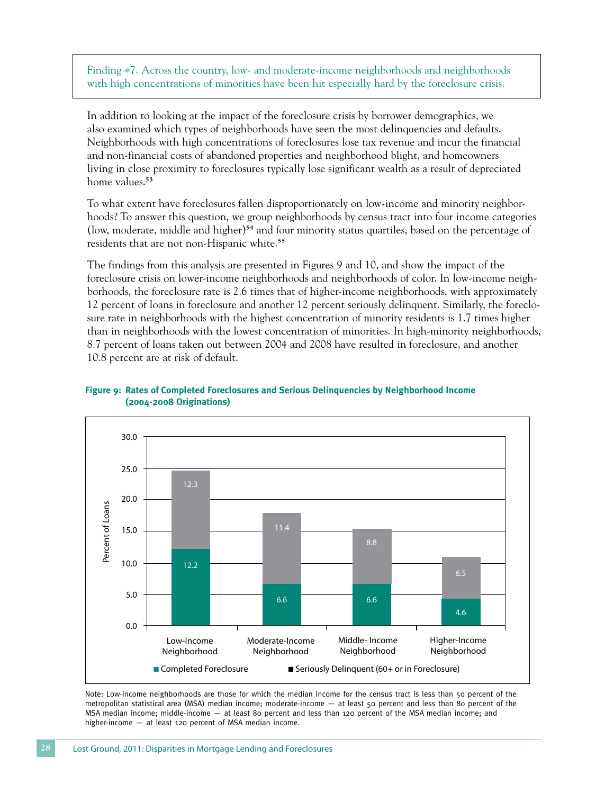Finding #7. Across the country, low- and moderate-income neighborhoods and neighborhoods with high concentrations of minorities have been hit especially hard by the foreclosure crisis.

In addition to looking at the impact of the foreclosure crisis by borrower demographics, we also examined which types of neighborhoods have seen the most delinquencies and defaults. Neighborhoods with high concentrations of foreclosures lose tax revenue and incur the financial and non-financial costs of abandoned properties and neighborhood blight, and homeowners living in close proximity to foreclosures typically lose significant wealth as a result of depreciated home values.<sup>53</sup>

To what extent have foreclosures fallen disproportionately on low-income and minority neighborhoods? To answer this question, we group neighborhoods by census tract into four income categories (low, moderate, middle and higher)<sup>54</sup> and four minority status quartiles, based on the percentage of residents that are not non-Hispanic white.<sup>55</sup>

The findings from this analysis are presented in Figures 9 and 10, and show the impact of the foreclosure crisis on lower-income neighborhoods and neighborhoods of color. In low-income neighborhoods, the foreclosure rate is 2.6 times that of higher-income neighborhoods, with approximately 12 percent of loans in foreclosure and another 12 percent seriously delinquent. Similarly, the foreclosure rate in neighborhoods with the highest concentration of minority residents is 1.7 times higher than in neighborhoods with the lowest concentration of minorities. In high-minority neighborhoods, 8.7 percent of loans taken out between 2004 and 2008 have resulted in foreclosure, and another 10.8 percent are at risk of default.



#### **Figure 9: Rates of Completed Foreclosures and Serious Delinquencies by Neighborhood Income (2004-2008 Originations)**

Note: Low-income neighborhoods are those for which the median income for the census tract is less than 50 percent of the metropolitan statistical area (MSA) median income; moderate-income — at least 50 percent and less than 80 percent of the MSA median income; middle-income — at least 80 percent and less than 120 percent of the MSA median income; and higher-income — at least 120 percent of MSA median income.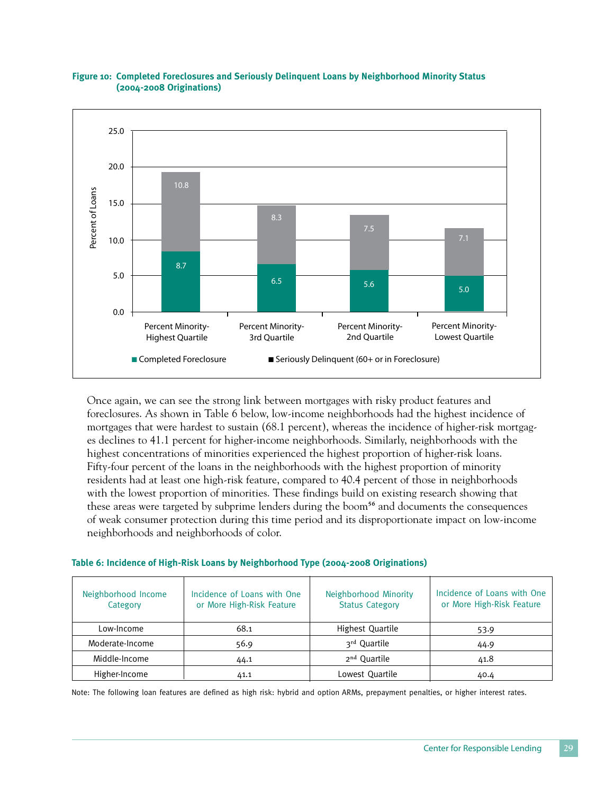

#### **Figure 10: Completed Foreclosures and Seriously Delinquent Loans by Neighborhood Minority Status (2004-2008 Originations)**

Once again, we can see the strong link between mortgages with risky product features and foreclosures. As shown in Table 6 below, low-income neighborhoods had the highest incidence of mortgages that were hardest to sustain (68.1 percent), whereas the incidence of higher-risk mortgages declines to 41.1 percent for higher-income neighborhoods. Similarly, neighborhoods with the highest concentrations of minorities experienced the highest proportion of higher-risk loans. Fifty-four percent of the loans in the neighborhoods with the highest proportion of minority residents had at least one high-risk feature, compared to 40.4 percent of those in neighborhoods with the lowest proportion of minorities. These findings build on existing research showing that these areas were targeted by subprime lenders during the boom<sup>56</sup> and documents the consequences of weak consumer protection during this time period and its disproportionate impact on low-income neighborhoods and neighborhoods of color.

| Table 6: Incidence of High-Risk Loans by Neighborhood Type (2004-2008 Originations) |  |  |  |
|-------------------------------------------------------------------------------------|--|--|--|
|-------------------------------------------------------------------------------------|--|--|--|

| Neighborhood Income<br>Category | Incidence of Loans with One<br>or More High-Risk Feature | Neighborhood Minority<br><b>Status Category</b> | Incidence of Loans with One<br>or More High-Risk Feature |
|---------------------------------|----------------------------------------------------------|-------------------------------------------------|----------------------------------------------------------|
| Low-Income                      | 68.1                                                     | Highest Quartile                                | 53.9                                                     |
| Moderate-Income                 | 56.9                                                     | 3rd Quartile                                    | 44.9                                                     |
| Middle-Income                   | 44.1                                                     | 2 <sup>nd</sup> Ouartile                        | 41.8                                                     |
| Higher-Income                   | 41.1                                                     | Lowest Quartile                                 | 40.4                                                     |

Note: The following loan features are defined as high risk: hybrid and option ARMs, prepayment penalties, or higher interest rates.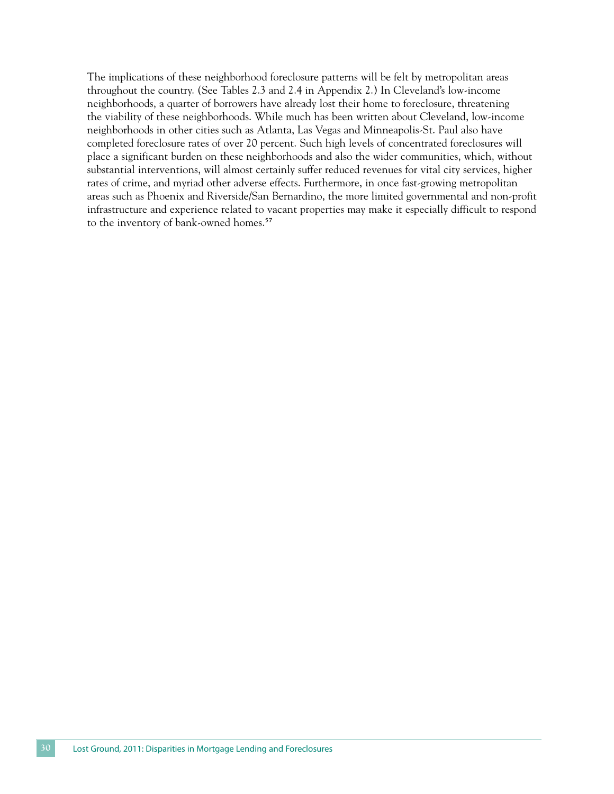The implications of these neighborhood foreclosure patterns will be felt by metropolitan areas throughout the country. (See Tables 2.3 and 2.4 in Appendix 2.) In Cleveland's low-income neighborhoods, a quarter of borrowers have already lost their home to foreclosure, threatening the viability of these neighborhoods. While much has been written about Cleveland, low-income neighborhoods in other cities such as Atlanta, Las Vegas and Minneapolis-St. Paul also have completed foreclosure rates of over 20 percent. Such high levels of concentrated foreclosures will place a significant burden on these neighborhoods and also the wider communities, which, without substantial interventions, will almost certainly suffer reduced revenues for vital city services, higher rates of crime, and myriad other adverse effects. Furthermore, in once fast-growing metropolitan areas such as Phoenix and Riverside/San Bernardino, the more limited governmental and non-profit infrastructure and experience related to vacant properties may make it especially difficult to respond to the inventory of bank-owned homes.<sup>57</sup>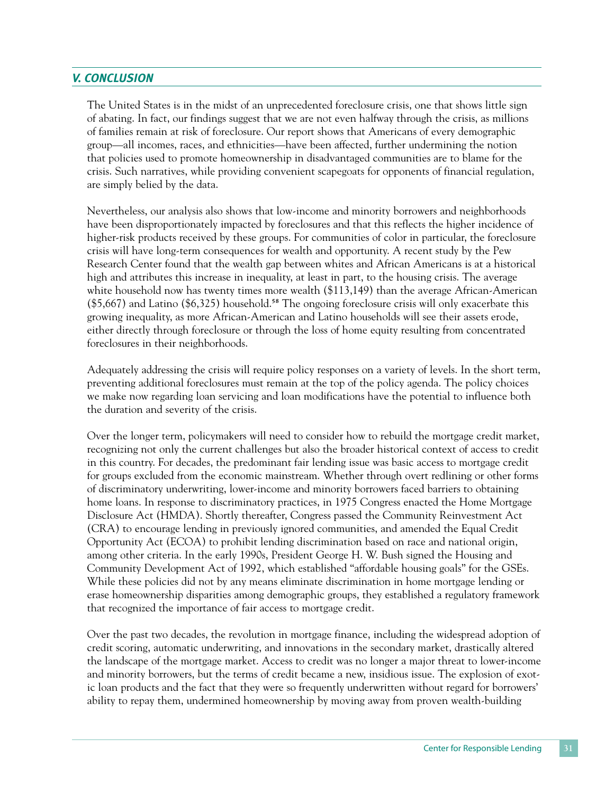## *V. Conclusion*

The United States is in the midst of an unprecedented foreclosure crisis, one that shows little sign of abating. In fact, our findings suggest that we are not even halfway through the crisis, as millions of families remain at risk of foreclosure. Our report shows that Americans of every demographic group—all incomes, races, and ethnicities—have been affected, further undermining the notion that policies used to promote homeownership in disadvantaged communities are to blame for the crisis. Such narratives, while providing convenient scapegoats for opponents of financial regulation, are simply belied by the data.

Nevertheless, our analysis also shows that low-income and minority borrowers and neighborhoods have been disproportionately impacted by foreclosures and that this reflects the higher incidence of higher-risk products received by these groups. For communities of color in particular, the foreclosure crisis will have long-term consequences for wealth and opportunity. A recent study by the Pew Research Center found that the wealth gap between whites and African Americans is at a historical high and attributes this increase in inequality, at least in part, to the housing crisis. The average white household now has twenty times more wealth (\$113,149) than the average African-American  $(\$5,667)$  and Latino  $(\$6,325)$  household.<sup>58</sup> The ongoing foreclosure crisis will only exacerbate this growing inequality, as more African-American and Latino households will see their assets erode, either directly through foreclosure or through the loss of home equity resulting from concentrated foreclosures in their neighborhoods.

Adequately addressing the crisis will require policy responses on a variety of levels. In the short term, preventing additional foreclosures must remain at the top of the policy agenda. The policy choices we make now regarding loan servicing and loan modifications have the potential to influence both the duration and severity of the crisis.

Over the longer term, policymakers will need to consider how to rebuild the mortgage credit market, recognizing not only the current challenges but also the broader historical context of access to credit in this country. For decades, the predominant fair lending issue was basic access to mortgage credit for groups excluded from the economic mainstream. Whether through overt redlining or other forms of discriminatory underwriting, lower-income and minority borrowers faced barriers to obtaining home loans. In response to discriminatory practices, in 1975 Congress enacted the Home Mortgage Disclosure Act (HMDA). Shortly thereafter, Congress passed the Community Reinvestment Act (CRA) to encourage lending in previously ignored communities, and amended the Equal Credit Opportunity Act (ECOA) to prohibit lending discrimination based on race and national origin, among other criteria. In the early 1990s, President George H. W. Bush signed the Housing and Community Development Act of 1992, which established "affordable housing goals" for the GSEs. While these policies did not by any means eliminate discrimination in home mortgage lending or erase homeownership disparities among demographic groups, they established a regulatory framework that recognized the importance of fair access to mortgage credit.

Over the past two decades, the revolution in mortgage finance, including the widespread adoption of credit scoring, automatic underwriting, and innovations in the secondary market, drastically altered the landscape of the mortgage market. Access to credit was no longer a major threat to lower-income and minority borrowers, but the terms of credit became a new, insidious issue. The explosion of exotic loan products and the fact that they were so frequently underwritten without regard for borrowers' ability to repay them, undermined homeownership by moving away from proven wealth-building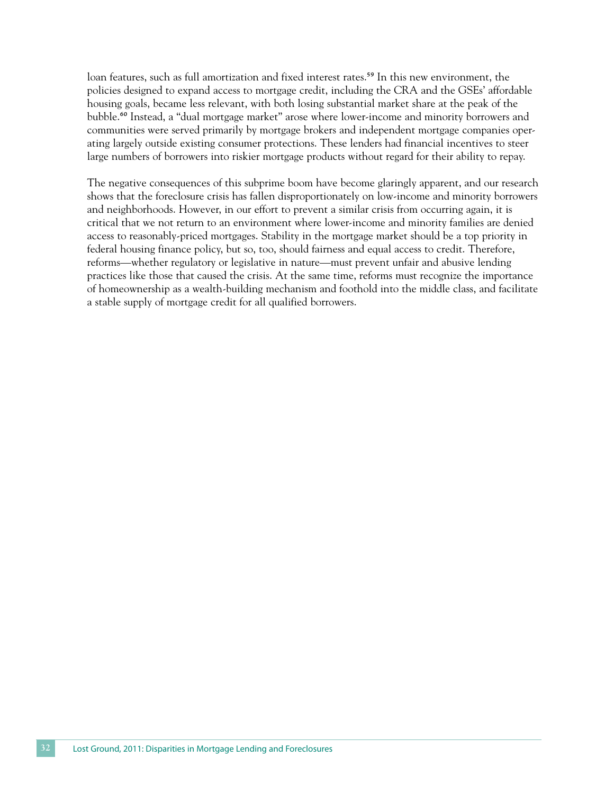loan features, such as full amortization and fixed interest rates.<sup>59</sup> In this new environment, the policies designed to expand access to mortgage credit, including the CRA and the GSEs' affordable housing goals, became less relevant, with both losing substantial market share at the peak of the bubble.<sup>60</sup> Instead, a "dual mortgage market" arose where lower-income and minority borrowers and communities were served primarily by mortgage brokers and independent mortgage companies operating largely outside existing consumer protections. These lenders had financial incentives to steer large numbers of borrowers into riskier mortgage products without regard for their ability to repay.

The negative consequences of this subprime boom have become glaringly apparent, and our research shows that the foreclosure crisis has fallen disproportionately on low-income and minority borrowers and neighborhoods. However, in our effort to prevent a similar crisis from occurring again, it is critical that we not return to an environment where lower-income and minority families are denied access to reasonably-priced mortgages. Stability in the mortgage market should be a top priority in federal housing finance policy, but so, too, should fairness and equal access to credit. Therefore, reforms—whether regulatory or legislative in nature—must prevent unfair and abusive lending practices like those that caused the crisis. At the same time, reforms must recognize the importance of homeownership as a wealth-building mechanism and foothold into the middle class, and facilitate a stable supply of mortgage credit for all qualified borrowers.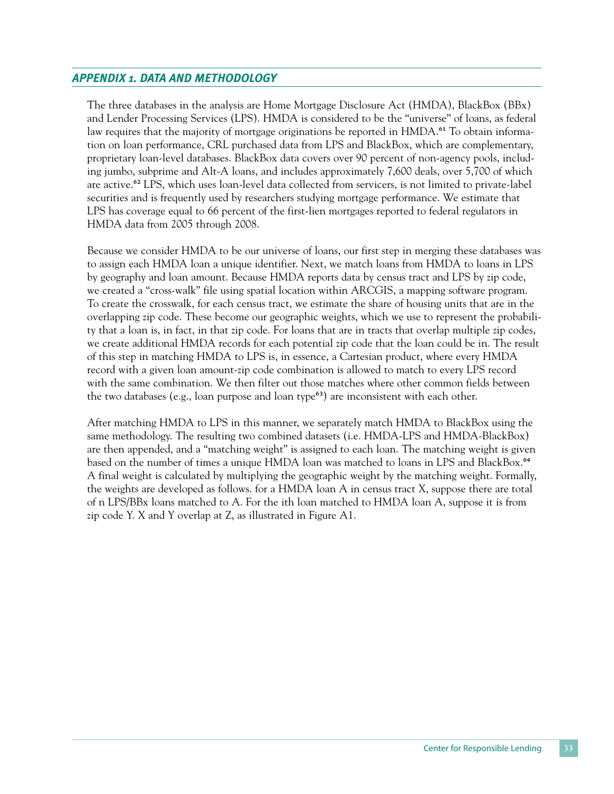## *Appendix 1. Data and Methodology*

The three databases in the analysis are Home Mortgage Disclosure Act (HMDA), BlackBox (BBx) and Lender Processing Services (LPS). HMDA is considered to be the "universe" of loans, as federal law requires that the majority of mortgage originations be reported in HMDA.<sup>61</sup> To obtain information on loan performance, CRL purchased data from LPS and BlackBox, which are complementary, proprietary loan-level databases. BlackBox data covers over 90 percent of non-agency pools, including jumbo, subprime and Alt-A loans, and includes approximately 7,600 deals, over 5,700 of which are active.<sup>62</sup> LPS, which uses loan-level data collected from servicers, is not limited to private-label securities and is frequently used by researchers studying mortgage performance. We estimate that LPS has coverage equal to 66 percent of the first-lien mortgages reported to federal regulators in HMDA data from 2005 through 2008.

Because we consider HMDA to be our universe of loans, our first step in merging these databases was to assign each HMDA loan a unique identifier. Next, we match loans from HMDA to loans in LPS by geography and loan amount. Because HMDA reports data by census tract and LPS by zip code, we created a "cross-walk" file using spatial location within ARCGIS, a mapping software program. To create the crosswalk, for each census tract, we estimate the share of housing units that are in the overlapping zip code. These become our geographic weights, which we use to represent the probability that a loan is, in fact, in that zip code. For loans that are in tracts that overlap multiple zip codes, we create additional HMDA records for each potential zip code that the loan could be in. The result of this step in matching HMDA to LPS is, in essence, a Cartesian product, where every HMDA record with a given loan amount-zip code combination is allowed to match to every LPS record with the same combination. We then filter out those matches where other common fields between the two databases (e.g., loan purpose and loan type $63$ ) are inconsistent with each other.

After matching HMDA to LPS in this manner, we separately match HMDA to BlackBox using the same methodology. The resulting two combined datasets (i.e. HMDA-LPS and HMDA-BlackBox) are then appended, and a "matching weight" is assigned to each loan. The matching weight is given based on the number of times a unique HMDA loan was matched to loans in LPS and BlackBox.<sup>64</sup> A final weight is calculated by multiplying the geographic weight by the matching weight. Formally, the weights are developed as follows. for a HMDA loan A in census tract X, suppose there are total of n LPS/BBx loans matched to A. For the ith loan matched to HMDA loan A, suppose it is from zip code Y. X and Y overlap at Z, as illustrated in Figure A1.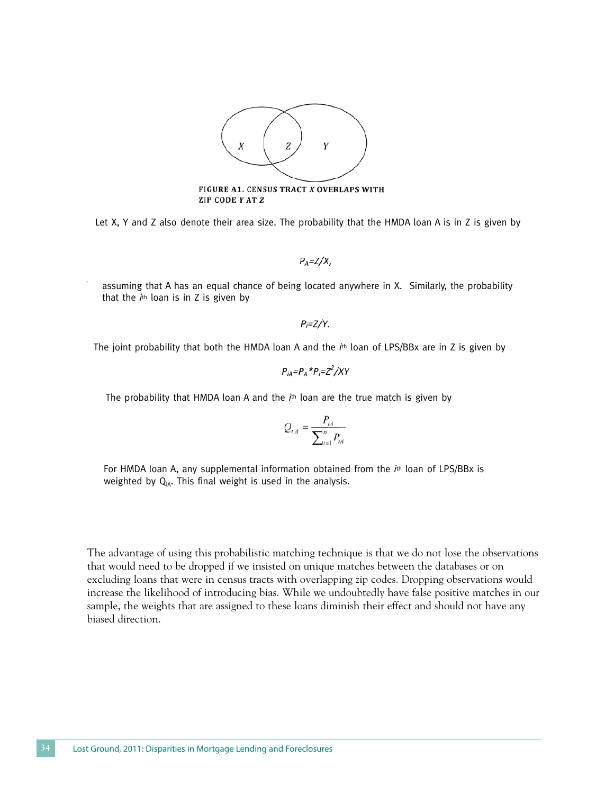

FIGURE A1. CENSUS TRACT X OVERLAPS WITH **ZIP CODE Y AT Z** 

Let X, Y and Z also denote their area size. The probability that the HMDA loan A is in Z is given by

 $P_A = Z/X$ 

assuming that A has an equal chance of being located anywhere in X. Similarly, the probability that the *i*th loan is in Z is given by

 $P_i = Z/Y$ .

The joint probability that both the HMDA loan A and the *i*th loan of LPS/BBx are in Z is given by

$$
P_{iA} = P_A * P_i = Z^2 / XY
$$

The probability that HMDA loan A and the *i*th loan are the true match is given by

$$
Q_{i_A} = \frac{P_{i_A}}{\sum_{i=1}^n P_{i_A}}
$$

For HMDA loan A, any supplemental information obtained from the *i*th loan of LPS/BBx is weighted by  $Q_{iA}$ . This final weight is used in the analysis.

The advantage of using this probabilistic matching technique is that we do not lose the observations that would need to be dropped if we insisted on unique matches between the databases or on excluding loans that were in census tracts with overlapping zip codes. Dropping observations would increase the likelihood of introducing bias. While we undoubtedly have false positive matches in our sample, the weights that are assigned to these loans diminish their effect and should not have any biased direction.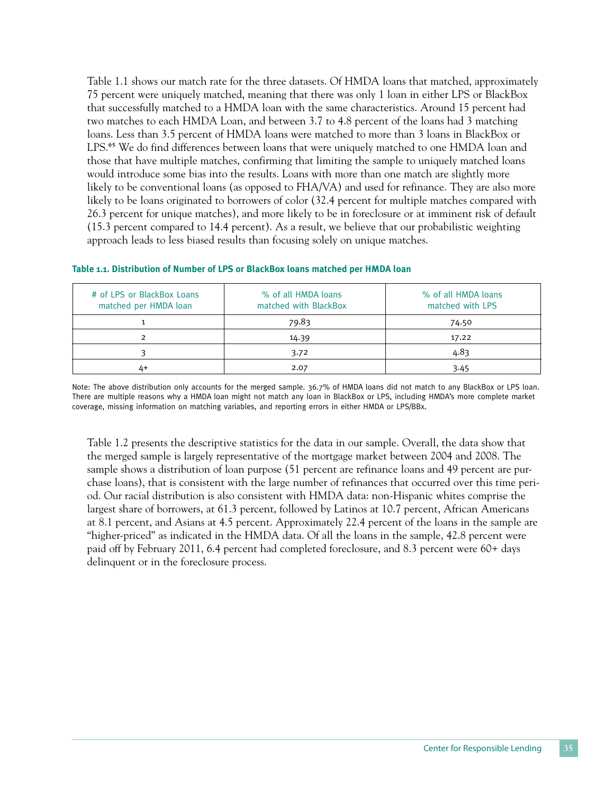Table 1.1 shows our match rate for the three datasets. Of HMDA loans that matched, approximately 75 percent were uniquely matched, meaning that there was only 1 loan in either LPS or BlackBox that successfully matched to a HMDA loan with the same characteristics. Around 15 percent had two matches to each HMDA Loan, and between 3.7 to 4.8 percent of the loans had 3 matching loans. Less than 3.5 percent of HMDA loans were matched to more than 3 loans in BlackBox or LPS.<sup>65</sup> We do find differences between loans that were uniquely matched to one HMDA loan and those that have multiple matches, confirming that limiting the sample to uniquely matched loans would introduce some bias into the results. Loans with more than one match are slightly more likely to be conventional loans (as opposed to FHA/VA) and used for refinance. They are also more likely to be loans originated to borrowers of color (32.4 percent for multiple matches compared with 26.3 percent for unique matches), and more likely to be in foreclosure or at imminent risk of default (15.3 percent compared to 14.4 percent). As a result, we believe that our probabilistic weighting approach leads to less biased results than focusing solely on unique matches.

| # of LPS or BlackBox Loans<br>matched per HMDA loan | % of all HMDA loans<br>matched with BlackBox | % of all HMDA loans<br>matched with LPS |
|-----------------------------------------------------|----------------------------------------------|-----------------------------------------|
|                                                     | 79.83                                        | 74.50                                   |
|                                                     | 14.39                                        | 17.22                                   |
|                                                     | 3.72                                         | 4.83                                    |
| 4+                                                  | 2.07                                         | 3.45                                    |

#### **Table 1.1. Distribution of Number of LPS or BlackBox loans matched per HMDA loan**

Note: The above distribution only accounts for the merged sample. 36.7% of HMDA loans did not match to any BlackBox or LPS loan. There are multiple reasons why a HMDA loan might not match any loan in BlackBox or LPS, including HMDA's more complete market coverage, missing information on matching variables, and reporting errors in either HMDA or LPS/BBx.

Table 1.2 presents the descriptive statistics for the data in our sample. Overall, the data show that the merged sample is largely representative of the mortgage market between 2004 and 2008. The sample shows a distribution of loan purpose (51 percent are refinance loans and 49 percent are purchase loans), that is consistent with the large number of refinances that occurred over this time period. Our racial distribution is also consistent with HMDA data: non-Hispanic whites comprise the largest share of borrowers, at 61.3 percent, followed by Latinos at 10.7 percent, African Americans at 8.1 percent, and Asians at 4.5 percent. Approximately 22.4 percent of the loans in the sample are "higher-priced" as indicated in the HMDA data. Of all the loans in the sample, 42.8 percent were paid off by February 2011, 6.4 percent had completed foreclosure, and 8.3 percent were 60+ days delinquent or in the foreclosure process.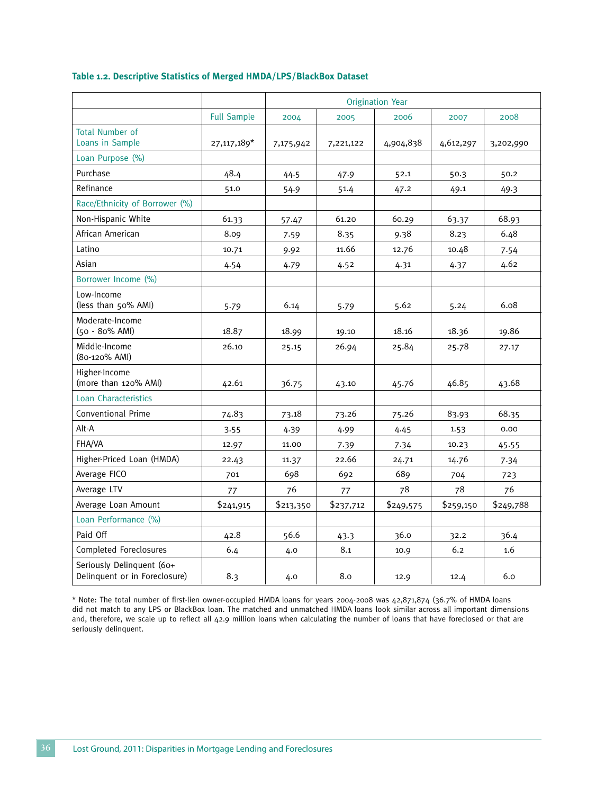|  | Table 1.2. Descriptive Statistics of Merged HMDA/LPS/BlackBox Dataset |  |  |  |  |  |
|--|-----------------------------------------------------------------------|--|--|--|--|--|
|--|-----------------------------------------------------------------------|--|--|--|--|--|

|                                                            |                    |           |           | <b>Origination Year</b> |           |           |
|------------------------------------------------------------|--------------------|-----------|-----------|-------------------------|-----------|-----------|
|                                                            | <b>Full Sample</b> | 2004      | 2005      | 2006                    | 2007      | 2008      |
| <b>Total Number of</b><br>Loans in Sample                  | 27,117,189*        | 7,175,942 | 7,221,122 | 4,904,838               | 4,612,297 | 3,202,990 |
| Loan Purpose (%)                                           |                    |           |           |                         |           |           |
| Purchase                                                   | 48.4               | 44.5      | 47.9      | 52.1                    | 50.3      | 50.2      |
| Refinance                                                  | 51.0               | 54.9      | 51.4      | 47.2                    | 49.1      | 49.3      |
| Race/Ethnicity of Borrower (%)                             |                    |           |           |                         |           |           |
| Non-Hispanic White                                         | 61.33              | 57.47     | 61.20     | 60.29                   | 63.37     | 68.93     |
| African American                                           | 8.09               | 7.59      | 8.35      | 9.38                    | 8.23      | 6.48      |
| Latino                                                     | 10.71              | 9.92      | 11.66     | 12.76                   | 10.48     | 7.54      |
| Asian                                                      | 4.54               | 4.79      | 4.52      | 4.31                    | 4.37      | 4.62      |
| Borrower Income (%)                                        |                    |           |           |                         |           |           |
| Low-Income<br>(less than 50% AMI)                          | 5.79               | 6.14      | 5.79      | 5.62                    | 5.24      | 6.08      |
| Moderate-Income<br>(50 - 80% AMI)                          | 18.87              | 18.99     | 19.10     | 18.16                   | 18.36     | 19.86     |
| Middle-Income<br>(80-120% AMI)                             | 26.10              | 25.15     | 26.94     | 25.84                   | 25.78     | 27.17     |
| Higher-Income<br>(more than 120% AMI)                      | 42.61              | 36.75     | 43.10     | 45.76                   | 46.85     | 43.68     |
| <b>Loan Characteristics</b>                                |                    |           |           |                         |           |           |
| Conventional Prime                                         | 74.83              | 73.18     | 73.26     | 75.26                   | 83.93     | 68.35     |
| Alt-A                                                      | 3.55               | 4.39      | 4.99      | 4.45                    | 1.53      | 0.00      |
| FHA/VA                                                     | 12.97              | 11.00     | 7.39      | 7.34                    | 10.23     | 45.55     |
| Higher-Priced Loan (HMDA)                                  | 22.43              | 11.37     | 22.66     | 24.71                   | 14.76     | 7.34      |
| Average FICO                                               | 701                | 698       | 692       | 689                     | 704       | 723       |
| Average LTV                                                | 77                 | 76        | 77        | 78                      | 78        | 76        |
| Average Loan Amount                                        | \$241,915          | \$213,350 | \$237,712 | \$249,575               | \$259,150 | \$249,788 |
| Loan Performance (%)                                       |                    |           |           |                         |           |           |
| Paid Off                                                   | 42.8               | 56.6      | 43.3      | 36.0                    | 32.2      | 36.4      |
| Completed Foreclosures                                     | 6.4                | 4.0       | 8.1       | 10.9                    | 6.2       | 1.6       |
| Seriously Delinquent (60+<br>Delinquent or in Foreclosure) | 8.3                | 4.0       | 8.0       | 12.9                    | 12.4      | 6.0       |

\* Note: The total number of first-lien owner-occupied HMDA loans for years 2004-2008 was 42,871,874 (36.7% of HMDA loans did not match to any LPS or BlackBox loan. The matched and unmatched HMDA loans look similar across all important dimensions and, therefore, we scale up to reflect all 42.9 million loans when calculating the number of loans that have foreclosed or that are seriously delinquent.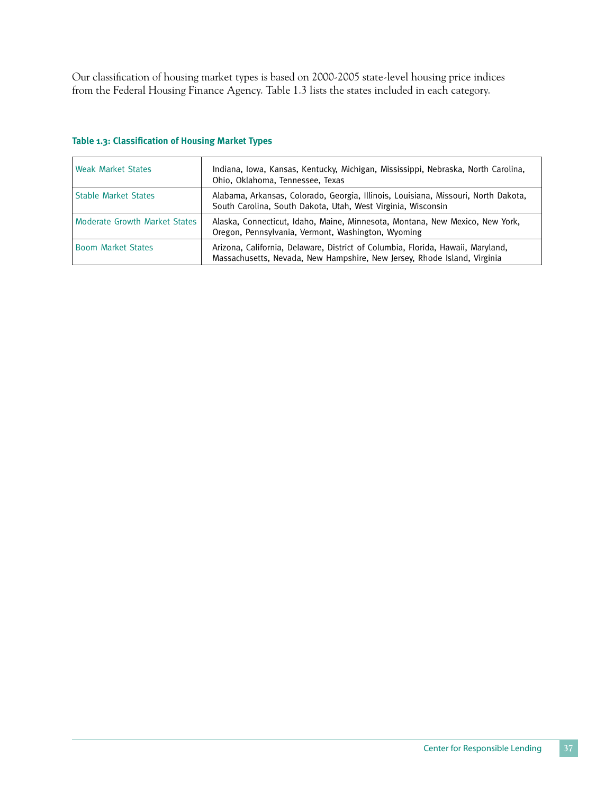Our classification of housing market types is based on 2000-2005 state-level housing price indices from the Federal Housing Finance Agency. Table 1.3 lists the states included in each category.

| <b>Weak Market States</b>     | Indiana, Iowa, Kansas, Kentucky, Michigan, Mississippi, Nebraska, North Carolina,<br>Ohio, Oklahoma, Tennessee, Texas                                       |
|-------------------------------|-------------------------------------------------------------------------------------------------------------------------------------------------------------|
| <b>Stable Market States</b>   | Alabama, Arkansas, Colorado, Georgia, Illinois, Louisiana, Missouri, North Dakota,<br>South Carolina, South Dakota, Utah, West Virginia, Wisconsin          |
| Moderate Growth Market States | Alaska, Connecticut, Idaho, Maine, Minnesota, Montana, New Mexico, New York,<br>Oregon, Pennsylvania, Vermont, Washington, Wyoming                          |
| <b>Boom Market States</b>     | Arizona, California, Delaware, District of Columbia, Florida, Hawaii, Maryland,<br>Massachusetts, Nevada, New Hampshire, New Jersey, Rhode Island, Virginia |

#### **Table 1.3: Classification of Housing Market Types**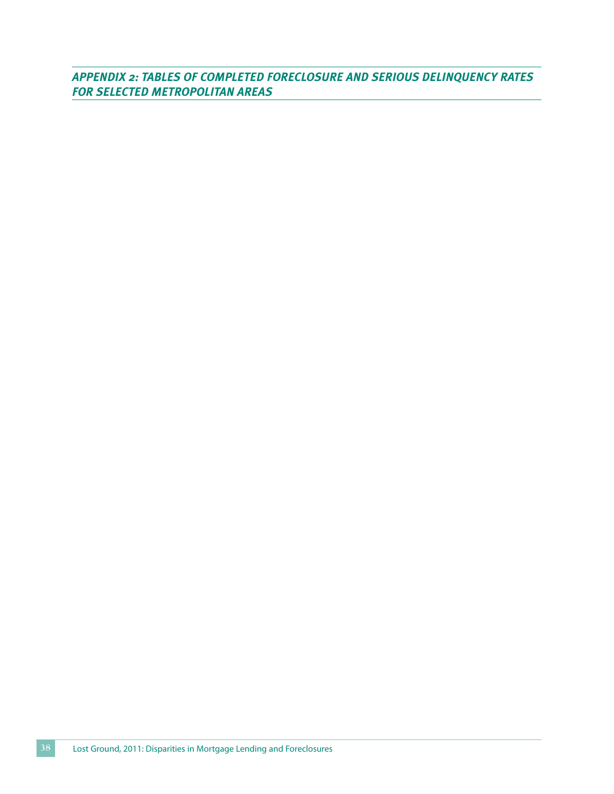*Appendix 2: Tables of Completed Foreclosure and Serious Delinquency Rates for Selected Metropolitan Areas*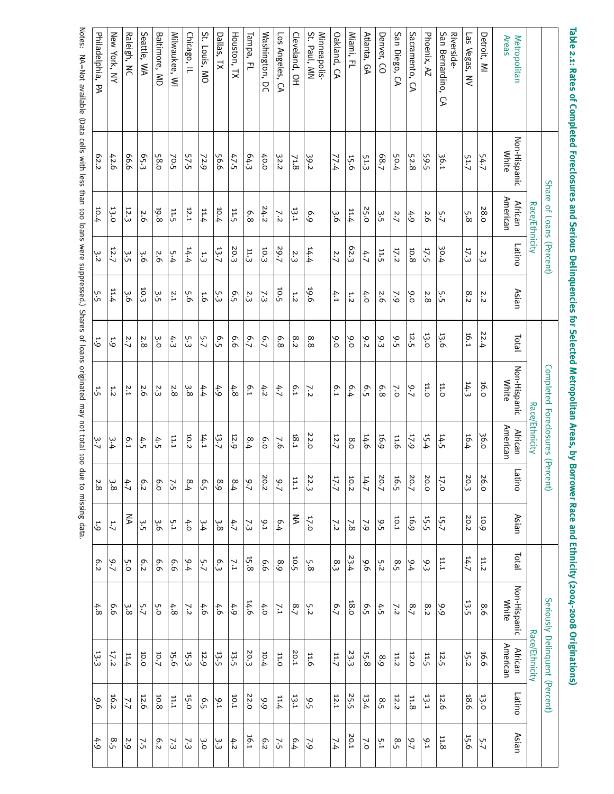| anda<br>רמווחומוברבת               |                       | concentration of the contract of the concentration |           |               |         | הבנברנבת וגובנוח/חמונים או במה <sup>/</sup> החו |                            | <b>DANCI</b> | וימרב מווח דרוווורור) |                 | $0007 - 0007$         | יי5ווימווים ווי            |        |         |
|------------------------------------|-----------------------|----------------------------------------------------|-----------|---------------|---------|-------------------------------------------------|----------------------------|--------------|-----------------------|-----------------|-----------------------|----------------------------|--------|---------|
|                                    | <b>Share</b>          | of Loans                                           | (Percent) |               |         | Completed Foreclosures                          |                            | (Percent)    |                       |                 | Seriously             | Delinquent (Percent)       |        |         |
|                                    |                       | Race/Ethnicity                                     |           |               |         |                                                 | Race/Ethnicity             |              |                       |                 |                       | Race/Ethnicity             |        |         |
| Areas<br>Metropolitan              | Non-Hispanic<br>White | American<br><b>African</b>                         | Latino    | Asian         | Total   | Non-Hispanic<br><b>White</b>                    | American<br><b>African</b> | БJ<br>iino   | Asian                 | <b>Dial</b>     | Non-Hispanic<br>White | American<br><b>African</b> | Latino | Asian   |
| Detroit, MI                        | 54.7                  | 28.0                                               | 2.3       | 'n,<br>i      | 22.4    | 16.0                                            | 36.0                       | 26.0         | 10.9                  | 11.2            | $\infty$<br>ö         | 16.6                       | 13.0   | 5.7     |
| Las Vegas, NV                      | 51.7                  | 5.8                                                | 17.3      | $\infty$<br>i | 16.1    | 14.3                                            | 16.4                       | 20.3         | 20.2                  | 14.7            | 13.5                  | 15.2                       | 18.6   | 15.6    |
| San Bernardino,<br>Riverside-<br>D | 36.1                  | 5.7                                                | 30.4      | 5.5           | 13.6    | 11.0                                            | 14.5                       | 17.0         | 15.7                  | 11.1            | 9.9                   | 12.5                       | 12.6   | 11.8    |
| Phoenix, AZ                        | 59.5                  | 2.6                                                | 17.5      | 2.8           | 13.0    | 11.0                                            | 15.4                       | 20.0         | $15.5$                | 9.3             | 8.2                   | 11.5                       | 13.1   | 9.1     |
| Sacramento,<br>D                   | 52.8                  | 4.9                                                | 10.8      | 9.0           | 12.5    | 9.7                                             | 17.9                       | 20.7         | 16.9                  | 9.4             | 8.7                   | 12.0                       | 11.8   | $6 - 7$ |
| San Diego, CA                      | 50.4                  | 2.7                                                | 17.2      | $\sim$        | 9.5     | $\sim$                                          | 11.6                       | 16.5         | 10.1                  | 8.5             | 7.2                   | 11.2                       | 12.2   | 8.5     |
| Denver, CO                         | 68.7                  | 3.5                                                | 11.5      | 2.6           | 9.3     | 6.8                                             | 16.9                       | 20.7         | 9.5                   | 5.2             | 4.5                   | 8.9                        | 8.5    | 5.1     |
| Atlanta,<br>GA                     | 51.3                  | 25.0                                               | 4.7       | $\ddot{ }$    | 9.2     | 6.5                                             | 14.6                       | 14.7         | $\sim$                | 9.6             | 6.5                   | 15.8                       | 13.4   | $\geq$  |
| Miami, FL                          | 15.6                  | 11.4                                               | 62.3      | 1.2           | 9.0     | 6.4                                             | 8.0                        | 10.2         | $\overline{7.8}$      | 23.4            | 18.0                  | 23.3                       | 25.5   | 20.1    |
| Oakland, CA                        | 77.4                  | 9.6                                                | 2.7       | 4.1           | 9.0     | <b>6.1</b>                                      | 12.7                       | 17.7         | 7.2                   | 8.3             | 6.7                   | 11.7                       | 12.1   | 7.4     |
| St. Paul, MN<br>Minneapolis-       | 39.2                  | 6.9                                                | 14.4      | 19.6          | 8.8     | 7.2                                             | 22.0                       | 22.3         | 17.0                  | 5.8             | 5.2                   | 11.6                       | 9.5    | 62      |
| Cleveland, OH                      | 71.8                  | 13.1                                               | 2.3       | 1.2           | 8.2     | <b>6.1</b>                                      | 18.1                       | 11.1         | ₹                     | 10.5            | 8.7                   | 20.1                       | 13.1   | 6.4     |
| Los Angeles, CA                    | 32.2                  | 7.2                                                | 79.7      | 10.5          | 6.8     | 4.7                                             | $\overline{6}$             | 2.7          | 6.4                   | 8.9             | 7.1                   | 11.0                       | 11.4   | 7.5     |
| Washington,<br>pc                  | 40.0                  | 24.2                                               | 10.3      | 7.3           | 6.7     | 4.2                                             | 6.0                        | 20.2         | 9.1                   | 6.6             | 4.0                   | 10.4                       | 9.9    | 6.2     |
| Tampa, FL                          | 64.3                  | 6.8                                                | 11.3      | 2.3           | 6.7     | 6.1                                             | 8.4                        | $-2.7$       | 7.3                   | $15.8$          | 14.6                  | 20.3                       | 22.0   | 16.1    |
| Houston, TX                        | 47.5                  | 11.5                                               | 20.3      | 6.5           | 9.9     | $4.8$                                           | 12.9                       | 8.4          | 4.7                   | $\overline{11}$ | 4.9                   | 13.5                       | 10.1   | 4.2     |
| Dallas, TX                         | 56.6                  | 10.4                                               | 13.7      | 5.3           | 6.5     | 4.9                                             | 13.7                       | 8.9          | $3.8\,$               | $\mathbb{S}$    | 4.6                   | 13.5                       | 9.1    | ن<br>ن  |
| St. Louis, MO                      | 72.9                  | 11.4                                               | 13        | 1.6           | 5.7     | 4.4                                             | 14.1                       | 6.5          | ب.<br>4               | 5.7             | 4.6                   | 12.9                       | 6.5    | ن.<br>ن |
| Chicago, IL                        | 57.5                  | 12.1                                               | 14.4      | 5.6           | 53      | 3.8                                             | 10.2                       | 8.4          | 4.0                   | 9.4             | 72                    | 15.3                       | 15.0   | 73      |
| Milwaukee, WI                      | 70.5                  | 11.5                                               | 5.4       | 2.1           | 4.3     | 2.8                                             | 11.1                       | 7.5          | 5.1                   | 9.9             | 4.8                   | 15.6                       | 11.1   | 73      |
| Baltimore, MD                      | 58.0                  | 19.8                                               | 2.6       | 3.5           | ο.<br>Ο | بن<br>ن                                         | 4.5                        | 6.0          | غ.6                   | 6.6             | 5.0                   | 10.7                       | 10.8   | 6.2     |
| Seattle, WA                        | 65.3                  | 2.6                                                | 9.6       | 10.3          | 2.8     | 2.6                                             | 4.5                        | 6.2          | 3.5                   | 6.2             | 5.7                   | 10.0                       | 12.6   | 7.5     |
| Raleigh, NC                        | 9.99                  | 12.3                                               | 3.5       | 3.6           | 2.7     | 2.1                                             | 6.1                        | かプ           | ₹                     | 5.0             | 3.8                   | 11.4                       | 7.7    | 2.9     |
| New York, NY                       | 42.6                  | 13.0                                               | 12.7      | 11.4          | 5.9     | 1.2                                             | 3.4                        | 3.8          | 1.7                   | 9.7             | 9.9                   | 17.2                       | 16.2   | 8.5     |
| Philadelphia, PA                   | 62.2                  | 10.4                                               | 3.2       | 5.5           | 1.9     | 1.5                                             | م.<br>ح                    | 2.8          | 1.9                   | 6.2             | 4.8                   | 13.3                       | 9.6    | 4.9     |

**Table 2.1: Rates of Completed Foreclosures and Serious Delinquencies for Selected Metropolitan Areas, by Borrower Race and Ethnicity (2004-2008 Originations)**

Notes: NA=Not available (Data cells with less than 100 loans were suppressed.) Shares ٩ loans originated may not total 100 d<br>B to missing data.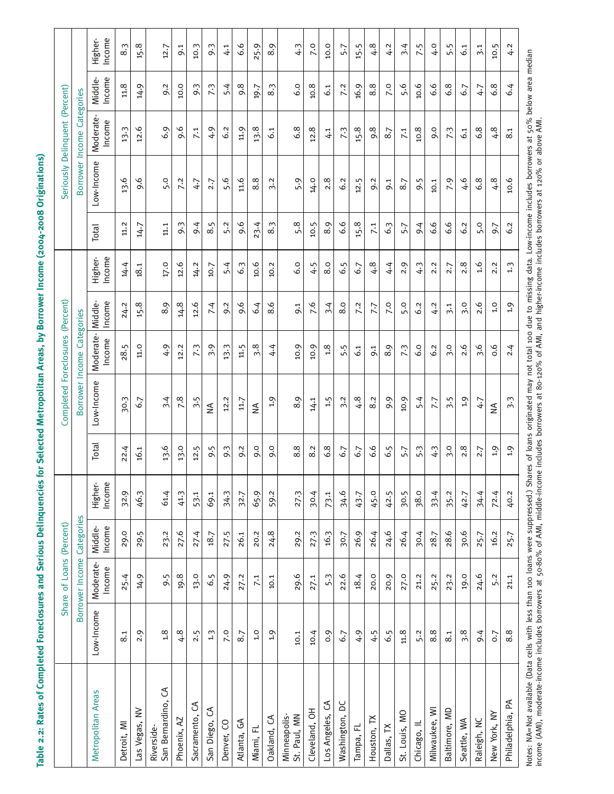| ו<br>וו                                     |
|---------------------------------------------|
|                                             |
|                                             |
|                                             |
|                                             |
|                                             |
| I                                           |
| ֖֧֖֧֧֚֚֚֚֚֚֚֚֚֚֚֚֚֚֚֚֚֚֚֚֚֚֚֚֚֚֚֬֡֝֡֝֟֓֡֡֝֬ |
|                                             |
|                                             |
|                                             |
|                                             |
|                                             |
|                                             |
|                                             |
|                                             |
|                                             |
|                                             |
|                                             |
|                                             |
|                                             |
|                                             |
|                                             |
| ſ                                           |
|                                             |
|                                             |
| l                                           |
|                                             |
|                                             |
|                                             |
|                                             |
|                                             |
|                                             |
|                                             |
|                                             |
|                                             |
|                                             |
|                                             |
|                                             |
|                                             |
|                                             |
|                                             |
|                                             |
|                                             |
|                                             |
|                                             |
|                                             |
|                                             |
|                                             |
|                                             |
|                                             |
|                                             |
|                                             |
|                                             |
|                                             |
|                                             |
|                                             |
|                                             |
|                                             |
|                                             |
|                                             |
|                                             |
|                                             |
|                                             |
|                                             |
|                                             |
|                                             |
|                                             |
|                                             |
|                                             |
|                                             |
|                                             |
|                                             |
|                                             |
| وّ                                          |
|                                             |
|                                             |
|                                             |
|                                             |
|                                             |
|                                             |
|                                             |
|                                             |
|                                             |
|                                             |
|                                             |
|                                             |
|                                             |
|                                             |
|                                             |
|                                             |
|                                             |
|                                             |
|                                             |
|                                             |
|                                             |
|                                             |
|                                             |
|                                             |
|                                             |
|                                             |
|                                             |
|                                             |

|                                                                                                                                                                                                                                   |               | Share of Loans (Percent) |                   |                   |              | Completed Foreclosures          |                     | (Percent)         |                   |              |                   | Seriously Delinquent (Percent) |                   |                   |
|-----------------------------------------------------------------------------------------------------------------------------------------------------------------------------------------------------------------------------------|---------------|--------------------------|-------------------|-------------------|--------------|---------------------------------|---------------------|-------------------|-------------------|--------------|-------------------|--------------------------------|-------------------|-------------------|
|                                                                                                                                                                                                                                   |               | Borrower Income          | Categories        |                   |              | Borrower Income                 |                     | Categories        |                   |              | Borrower          | Income                         | Categories        |                   |
| Metropolitan Areas                                                                                                                                                                                                                | Low-Income    | Moderate-<br>Income      | Income<br>Middle- | Income<br>Higher- | <b>Total</b> | Low-Income                      | Moderate-<br>Income | Income<br>Middle- | Income<br>Higher- | <b>Total</b> | Low-Income        | Moderate-<br>Income            | Income<br>Middle- | Income<br>Higher- |
| Detroit, MI                                                                                                                                                                                                                       | 8.1           | 25.4                     | 29.0              | 32.9              | 22.4         | 30.3                            | 28.5                | 24.2              | 14.4              | 11.2         | 13.6              | 13.3                           | 11.8              | 8.3               |
| Las Vegas, NV                                                                                                                                                                                                                     | 2.9           | 14.9                     | 29.5              | 46.3              | 16.1         | 6.7                             | 11.0                | $15.8$            | 18.1              | 14.7         | 9.6               | 12.6                           | 14.9              | $15.8$            |
| San Bernardino, CA<br>Riverside-                                                                                                                                                                                                  | $3.5^{\circ}$ | 9.5                      | 23.2              | 61.4              | 13.6         | 3.4                             | 4.9                 | 8.9               | 17.0              | 11.1         | 5.0               | 6.9                            | 9.2               | 12.7              |
| Phoenix, AZ                                                                                                                                                                                                                       | 4.8           | 19.8                     | 27.6              | 41.3              | 13.0         | 7.8                             | 12.2                | 14.8              | 12.6              | 9.3          | 7.2               | 9.6                            | 10.0              | 9.1               |
| S<br>Sacramento,                                                                                                                                                                                                                  | 2.5           | 13.0                     | 27.4              | 53.1              | 12.5         | 3.5                             | 7.3                 | 12.6              | 14.2              | 9.4          | 4.7               | 7.1                            | 9.3               | 10.3              |
| S<br>San Diego,                                                                                                                                                                                                                   | $1.3$         | 6.5                      | 18.7              | 69.1              | 9.5          | ₹                               | 3.9                 | 7.4               | 10.7              | 8.5          | 2.7               | 4.9                            | 7.3               | 9.3               |
| Denver, CO                                                                                                                                                                                                                        | 7.0           | 24.9                     | 27.5              | 34.3              | 9.3          | 12.2                            | 13.3                | 9.2               | 5.4               | 5.2          | 5.6               | 6.2                            | 5.4               | 4.1               |
| Atlanta, GA                                                                                                                                                                                                                       | 8.7           | 27.2                     | 26.1              | 32.7              | 9.2          | 11.7                            | 11.5                | 9.6               | 6.3               | 9.6          | 11.6              | 11.9                           | 9.8               | 6.6               |
| Miami, FL                                                                                                                                                                                                                         | 1.0           | 7.1                      | 20.2              | 65.9              | 9.0          | ₹                               | 3.8                 | 6.4               | 10.6              | 23.4         | 8.8               | 13.8                           | 19.7              | 25.9              |
| Oakland, CA                                                                                                                                                                                                                       | $^{0.1}$      | $10.1$                   | 24.8              | 59.2              | 9.0          | 0.1                             | 4.4                 | 8.6               | 10.2              | 8.3          | 3.2               | 6.1                            | 8.3               | 8.9               |
| Minneapolis-<br>St. Paul, MN                                                                                                                                                                                                      | 10.1          | 29.6                     | 29.2              | 27.3              | 8.8          | 8.9                             | 10.9                | 9:1               | 6.0               | 5.8          | 5.9               | $6.8$                          | 6.0               | 4.3               |
| Cleveland, OH                                                                                                                                                                                                                     | 10.4          | 27.1                     | 27.3              | 30.4              | 8.2          | 14.1                            | 10.9                | 7.6               | 4.5               | 10.5         | 14.0              | 12.8                           | 10.8              | <b>P.O</b>        |
| S<br>Los Angeles,                                                                                                                                                                                                                 | 0.9           | 5.3                      | 16.3              | 73.1              | 6.8          | 1.5                             | 1.8                 | 3.4               | 8.0               | 8.9          | 2.8               | 4.1                            | $\ddot{6}$        | 10.0              |
| ΣC<br>Washington,                                                                                                                                                                                                                 | 6.7           | 22.6                     | 30.7              | 34.6              | 6.7          | 3.2                             | 5.5                 | 8.0               | 6.5               | 6.6          | 6.2               | 7.3                            | 7.2               | 5.7               |
| Tampa, FL                                                                                                                                                                                                                         | 4.9           | 18.4                     | 26.9              | 43.7              | 6.7          | 4.8                             | $\ddot{6}$          | 7.2               | 6.7               | 15.8         | 12.5              | $15.8$                         | 16.9              | 15.5              |
| Houston, TX                                                                                                                                                                                                                       | 4.5           | 20.0                     | 26.4              | 45.0              | 6.6          | 8.2                             | 9.1                 | 7.7               | $-4.8$            | 7.1          | 9.2               | 9.8                            | 8.8               | 4.8               |
| Dallas, TX                                                                                                                                                                                                                        | 6.5           | 20.9                     | 24.6              | 42.5              | 6.5          | 9.9                             | 8.9                 | <b>7.0</b>        | 4.4               | 6.3          | $\overline{9}$ :1 | 8.7                            | <b>P.O</b>        | 4.2               |
| St. Louis, MO                                                                                                                                                                                                                     | 11.8          | 27.0                     | 26.4              | 30.5              | 5.7          | 10.9                            | 7.3                 | 5.0               | 2.9               | 5.7          | 8.7               | 7.1                            | 5.6               | 3.4               |
| Chicago, IL                                                                                                                                                                                                                       | 5.2           | 21.2                     | 30.4              | 38.0              | 5.3          | 5.4                             | 6.0                 | 6.2               | 4.3               | 9.4          | 9.5               | 10.8                           | 10.6              | 7.5               |
| Milwaukee, WI                                                                                                                                                                                                                     | 8.8           | 25.2                     | 28.7              | 33.4              | 4.3          | 7.7                             | 6.2                 | 4.2               | 2.2               | 6.6          | 10.1              | 0.6                            | 6.6               | 4.0               |
| Baltimore, MD                                                                                                                                                                                                                     | 8.1           | 23.2                     | 28.6              | 35.2              | 3.0          | $\frac{5}{5}$                   | 3.0                 | 3.1               | 2.7               | 6.6          | 7.9               | 7.3                            | 6.8               | 5.5               |
| Seattle, WA                                                                                                                                                                                                                       | 3.8           | 19.0                     | 30.6              | 42.7              | 2.8          | 1.9                             | 2.6                 | 3.0               | 2.8               | 6.2          | 6.4               | $\overline{61}$                | 6.7               | 6.1               |
| Raleigh, NC                                                                                                                                                                                                                       | 9.4           | 24.6                     | 25.7              | 34.4              | 2.7          | 4.7                             | 3.6                 | 2.6               | 1.6               | 5.0          | 6.8               | 6.8                            | 4.7               | 3.1               |
| New York, NY                                                                                                                                                                                                                      | 0.7           | 5.2                      | 16.2              | 72.4              | 1.9          | $\leq$                          | 0.6                 | 1.0               | 2.2               | 9.7          | 4.8               | 4.8                            | 6.8               | 10.5              |
| Philadelphia, PA                                                                                                                                                                                                                  | 8.8           | 21.1                     | 25.7              | 40.2              | 2.9          | $\overline{3}\cdot\overline{3}$ | 2.4                 | 1.9               | 1.3               | 6.2          | 10.6              | 8.1                            | 6.4               | 4.2               |
| Notes: NA=Not available (Data cells with less than 100 loans were suppressed.) Shares of loans originated may not total 100 due to missing data. Low-income includes borrowers at 50% below area median<br>income (AMI), moderate |               |                          |                   |                   |              |                                 |                     |                   |                   |              |                   |                                |                   |                   |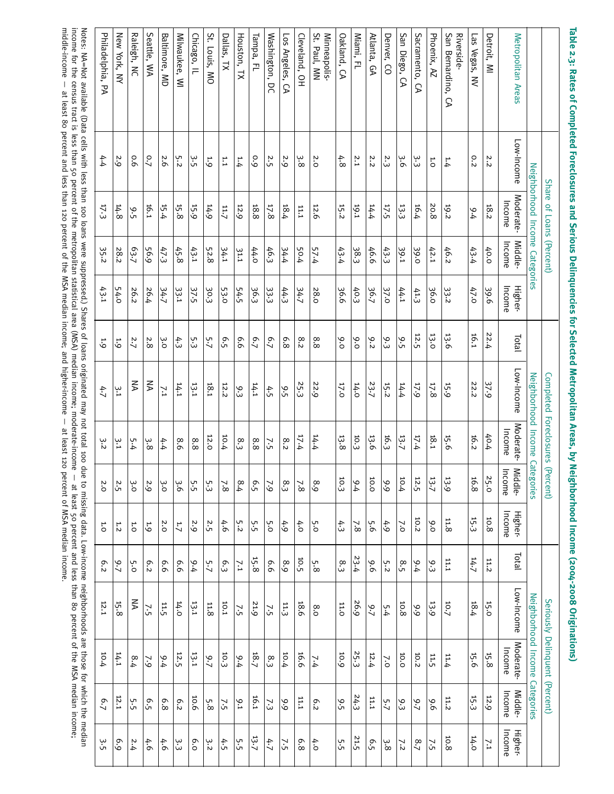| Philadelphia,<br>ЪÁ | New York, NY | Raleigh, NC | Seattle, WA    | Baltimore, MD    | Milwaukee, WI   | Chicago, IL | St. Louis, MO | Dallas, TX   | Houston, TX          | Tampa, FL | Washington, DC | <b>SO</b><br>Angeles,<br>5 | Cleveland, OH | St. Paul, MN<br>Minneapolis-     | Oakland, CA  | Miami,<br>곤 | Atlanta, GA | Denver, CO | San Diego,<br>S | Sacramento, CA | Phoenix, AZ | San Bernardino,<br>Riverside-<br>S | Las Vegas,<br>$\leq$ | Detroit, MI      | Metropolitan Areas        |                                |                                  |
|---------------------|--------------|-------------|----------------|------------------|-----------------|-------------|---------------|--------------|----------------------|-----------|----------------|----------------------------|---------------|----------------------------------|--------------|-------------|-------------|------------|-----------------|----------------|-------------|------------------------------------|----------------------|------------------|---------------------------|--------------------------------|----------------------------------|
| 4.4                 | 2.9          | 9.0         | $\overline{5}$ | 2.6              | 5.2             | 3.5         | 1.9           | $\mathbf{r}$ | 1.4                  | 6.0       | 2.5            | 2.9                        | بن<br>∞       | 2.0                              | 4.8          | 2.1         | 2.2         | 2.3        | ين              | ين<br>ن        | 1.0         | 1.4                                | 0.2                  | 2.2              | Low-Income                |                                |                                  |
| 17.3                | 14.8         | 9.5         | 16.1           | 15.4             | 15.8            | 15.9        | 14.9          | 11.7         | 12.9                 | 18.8      | 17.8           | 18.4                       | 11.1          | 12.6                             | 15.2         | 19.1        | 14.4        | $17.5$     | 13.3            | 16.4           | 20.8        | 19.2                               | 9.4                  | 18.2             | Moderate-<br>Income       | Neighborhood Income Categories | Share of Loans                   |
| 35.2                | 28.2         | 63.7        | 56.9           | 47.3             | 45.8            | 43.1        | 52.8          | 34.1         | 31.1                 | 44.0      | 46.3           | $rac{34.4}{5}$             | 50.4          | 57.4                             | 43.4         | 38.3        | 46.6        | 43.3       | 39.1            | 39.0           | 42.1        | 46.2                               | 43.4                 | 40.0             | Middle-<br>Income         |                                | (Percent)                        |
| 43.1                | 54.0         | 26.2        | 26.4           | 34.7             | 33.1            | 37.5        | نې<br>ن       | 53.0         | 54.5                 | 36.3      | 33.<br>33      | 44.3                       | 34.7          | 28.0                             | 36.6         | 40.3        | 36.7        | 37.0       | 44.1            | 41.3           | 36.0        | 33.2                               | 47.0                 | 39.6             | Income<br><b>Higher-</b>  |                                |                                  |
| $\ddot{6}$          | 1.9          | 2.7         | 2.8            | ο.<br>Θ          | 4.3             | ى:<br>سا    | 5.7           | 6.5          | 9.9                  | 6.7       | 6.7            | 6.8                        | 8.2           | $^{\circ}$<br>$\rm \dot{\infty}$ | 9.0          | 6.0         | 9.2         | 9.3        | 9.5             | $12.5\,$       | 13.0        | 13.6                               | 16.1                 | 22.4             | Total                     |                                |                                  |
| 4.7                 | ين           | ⋚           | ₹              | $\overline{7.1}$ | 14.1            | 13.1        | 18.1          | 12.2         | 9.3                  | 14.1      | 4.5            | ى:                         | 25.3          | 22.9                             | 17.0         | 14.0        | 23.7        | 15.2       | 14.4            | 17.9           | 17.8        | 15.9                               | 22.2                 | 37.9             | Low-Income                | Neighborhood                   |                                  |
| 3.2                 | ن<br>نا      | 5.4         | ن<br>8         | 4.4              | 8.6             | 8.8         | 12.0          | 10.4         | $\overset{\circ}{3}$ | $8.8$     | 7.5            | 8.2                        | 4.4           | 14.4                             | 13.8         | 10.3        | 13.6        | 16.3       | 13.7            | 17.4           | 1.81        | 15.6                               | 16.2                 | 40.4             | Moderate-<br>Income       | Income                         | Completed Foreclosures (Percent) |
| 2.0                 | 2.5          | ن<br>ö      | 2.9            | ω.<br>Ο          | ω<br>ä          | 5.5         | 5.3           | 7.8          | 8.4                  | 6.5       | $\sim$         | 8.3                        | 7.8           | 8.9                              | 10.3         | 6.4         | 10.0        | 9.9        | 10.4            | 12.5           | 13.7        | 13.9                               | 16.8                 | 25.0             | Middle-<br>Income<br>come | Categories                     |                                  |
| 1.0                 | 1.2          | 1.O         | 1.9            | 2.0              | $\mathbf{1}$ .7 | 2.9         | 2.5           | 4.6          | 5.2                  | 5.5       | 5.0            | 4.9                        | 4.0           | 5.0                              | 4.3          | 7.8         | 5.6         | 4.9        | $\sim$          | 10.2           | 9.0         | $11.8\,$                           | 15.3                 | $10.8\,$         | Income<br><b>Higher</b>   |                                |                                  |
| $\sigma$<br>i       | 9.7          | 5.0         | 6.2            | 9.9              | 9.9             | 9.4         | 5.7           | 6.3          | $\overline{7.1}$     | 15.8      | 9.9            | 8.9                        | 10.5          | 5.8                              | $\mathbf{g}$ | 23.4        | 9.6         | 5.2        | $8.5\,$         | 9.4            | 9.3         | 11.1                               | 14.7                 | 11.2             | Total                     |                                |                                  |
| 12.1                | $15.8\,$     | ₹           | 7.5            | 11.5             | 14.0            | 13.1        | $11.8\,$      | 10.1         | 7.5                  | 21.9      | 7.5            | 11.3                       | 18.6          | 8.0                              | 11.0         | 26.9        | 2.7         | 5.4        | $10.8\,$        | 6.6            | 13.9        | 10.7                               | $18.4$               | 15.0             | Low-Income                | Neighborhood                   |                                  |
| 10.4                | 14.1         | 8.4         | $\sim$         | 6.4              | $12.5\,$        | 13.1        | 9.7           | 10.3         | 9.4                  | 18.7      | 8.3            | 10.4                       | 16.6          | 7.4                              | 10.9         | 25.3        | 12.4        | $\sim$     | 10.0            | 10.2           | 11.5        | 11.4                               | 15.6                 | $15.8\,$         | Moderate-<br>Income       | Income                         | Seriously Delinquent (Percent)   |
| 6.7                 | 12.1         | 5.5         | 6.5            | 6.8              | 6.2             | 10.6        | 5.8           | 7.5          | $9.1$                | 16.1      | 7.3            | 9.9                        | 11.1          | 6.2                              | 9.5          | 24.3        | 11.1        | 5.7        | 9.3             | 2.7            | 9.6         | 11.2                               | 15.3                 | 12.9             | Middle-<br>Income         | Categories                     |                                  |
| 3.5                 | 6.9          | 2.4         | 4.6            | 4.6              | З.              | 6.0         | 3.2           | 4.5          | 5.5                  | 13.7      | ムウ             | $\overline{75}$            | 6.8           | 4.0                              | 5.5          | 21.5        | 6.5         | 3.8        | 7.2             | 8.7            | 7.5         | 10.8                               | 14.0                 | $\overline{7.1}$ | Income<br><b>Higher-</b>  |                                |                                  |

**Table 2.3: Rates of Completed Foreclosures and Serious Delinquencies for Selected Metropolitan Areas, by Neighborhood Income (2004-2008 Originations)**

Notes: NA=Not available (Data cells with less than 100 loans were suppressed.) Shares ٩ loans originated may not total 100 due<br>B to missing data. Low-income neighborhoods a<br>a those ਰ੍ਹਾ which the median income for the census tract is less than 5 percent ٩ the metropolitan statistical area (MSA) median income; moderate-income —  $^{\underline{\mathrm{a}}}$ least 5 percent and less than 80 percent ቧ the MSA median income; middle-income —  $\overline{\mathsf{a}}$ least 80 percent and less than 120 percent ቧ the MSA median income; and higher-income —  $_{\rm \mu}$ least 120 percent <u>ር</u> MSA median income.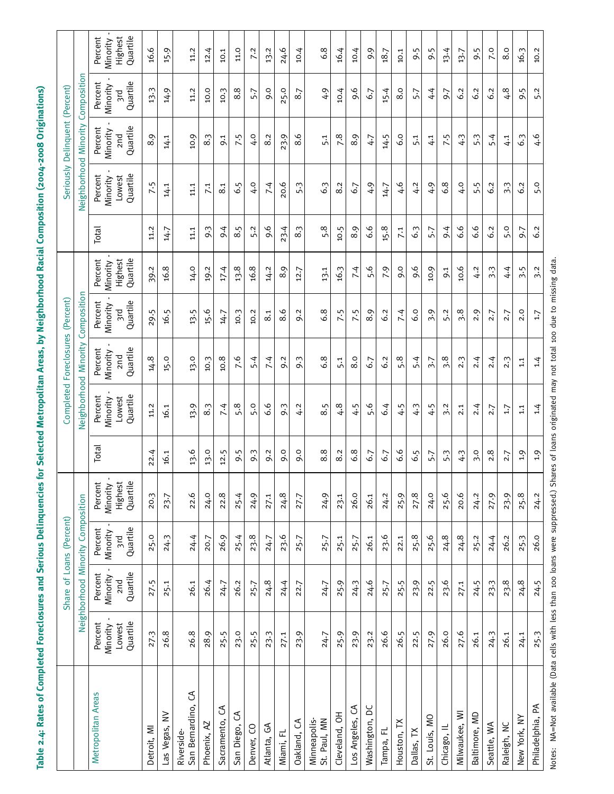**Table 2.4: Rates of Completed Foreclosures and Serious Delinquencies for Selected Metropolitan Areas, by Neighborhood Racial Composition (2004-2008 Originations)**

|                                                                                                                                                  |                                           | Share of Loans (Percent)                           |                                               |                                            |       |                                           | Completed Foreclosures                             | (Percent)                                    |                                            |        | Seriously                                 | Delinquent                             | (Percent)                              |                                            |
|--------------------------------------------------------------------------------------------------------------------------------------------------|-------------------------------------------|----------------------------------------------------|-----------------------------------------------|--------------------------------------------|-------|-------------------------------------------|----------------------------------------------------|----------------------------------------------|--------------------------------------------|--------|-------------------------------------------|----------------------------------------|----------------------------------------|--------------------------------------------|
|                                                                                                                                                  |                                           | Neighborhood Minority Composition                  |                                               |                                            |       |                                           | Neighborhood Minority                              | Composition                                  |                                            |        | Neighborhood Minority                     |                                        | Composition                            |                                            |
| Metropolitan Areas                                                                                                                               | Quartile<br>Percent<br>Lowest<br>Minority | Quartile<br>Percent<br>Minority<br>2n <sub>d</sub> | Quartile<br>Percent<br>Minority<br><b>Sıd</b> | Quartile<br>Highest<br>Percent<br>Minority | Total | Quartile<br>Percent<br>Lowest<br>Minority | Quartile<br>Percent<br>Minority<br>2n <sub>d</sub> | Quartile<br>Percent<br>Minority<br><b>Pu</b> | Quartile<br>Percent<br>Highest<br>Minority | Total  | Quartile<br>Percent<br>Lowest<br>Minority | Quartile<br>Percent<br>Minority<br>2nd | Quartile<br>Percent<br>Minority<br>pıg | Quartile<br>Percent<br>Highest<br>Minority |
| Detroit, MI                                                                                                                                      | 27.3                                      | 27.5                                               | 25.0                                          | 20.3                                       | 22.4  | 11.2                                      | 14.8                                               | 29.5                                         | 39.2                                       | 11.2   | 7.5                                       | 8.9                                    | 13.3                                   | 16.6                                       |
| Las Vegas, NV                                                                                                                                    | 26.8                                      | 25.1                                               | 24.3                                          | 23.7                                       | 16.1  | 16.1                                      | 15.0                                               | 16.5                                         | 16.8                                       | 14.7   | 14.1                                      | 14.1                                   | 14.9                                   | 15.9                                       |
| S<br>San Bernardino,<br>Riverside-                                                                                                               | 26.8                                      | 26.1                                               | 24.4                                          | 22.6                                       | 13.6  | 13.9                                      | 13.0                                               | 13.5                                         | 14.0                                       | 11.1   | 11.1                                      | 10.9                                   | 11.2                                   | 11.2                                       |
| Phoenix, AZ                                                                                                                                      | 28.9                                      | 26.4                                               | 20.7                                          | 24.0                                       | 13.0  | 8.3                                       | 10.3                                               | 15.6                                         | 19.2                                       | 9.3    | 7.1                                       | $8.3$                                  | 10.0                                   | 12.4                                       |
| Sacramento, CA                                                                                                                                   | 25.5                                      | 24.7                                               | 26.9                                          | 22.8                                       | 12.5  | 7.4                                       | 10.8                                               | 14.7                                         | 17.4                                       | 9.4    | 8.1                                       | 9.1                                    | 10.3                                   | 10.1                                       |
| San Diego, CA                                                                                                                                    | 23.0                                      | 26.2                                               | 25.4                                          | 25.4                                       | 9.5   | 5.8                                       | 7.6                                                | 10.3                                         | 13.8                                       | 8.5    | 6.5                                       | 7.5                                    | $^{\circ}$<br>∞                        | 11.0                                       |
| Denver, CO                                                                                                                                       | 25.5                                      | 25.7                                               | 23.8                                          | 24.9                                       | 9.3   | 5.0                                       | 5.4                                                | 10.2                                         | 16.8                                       | 5.2    | 4.0                                       | 4.0                                    | 5.7                                    | 7.2                                        |
| $\mathfrak{S}$<br>Atlanta,                                                                                                                       | 23.3                                      | 24.8                                               | 24.7                                          | 27.1                                       | 9.2   | 6.6                                       | 7.4                                                | 8.1                                          | 14.2                                       | 9.6    | 7.4                                       | 8.2                                    | 9.0                                    | 13.2                                       |
| Miami, FL                                                                                                                                        | 27.1                                      | 24.4                                               | 23.6                                          | 24.8                                       | 9.0   | 9.3                                       | 9.2                                                | 8.6                                          | 8.9                                        | 23.4   | 20.6                                      | 23.9                                   | 25.0                                   | 24.6                                       |
| Oakland, CA                                                                                                                                      | 23.9                                      | 22.7                                               | 25.7                                          | 27.7                                       | 9.0   | 4.2                                       | 9.3                                                | 9.2                                          | 12.7                                       | 8.3    | 5.3                                       | $\circ$<br>$\infty$                    | 8.7                                    | 10.4                                       |
| St. Paul, MN<br>Minneapolis-                                                                                                                     | 24.7                                      | 24.7                                               | 25.7                                          | 24.9                                       | 8.8   | 8.5                                       | 6.8                                                | 6.8                                          | 13.1                                       | 5.8    | 6.3                                       | 5.1                                    | 4.9                                    | 6.8                                        |
| Cleveland, OH                                                                                                                                    | 25.9                                      | 25.9                                               | 25.1                                          | 23.1                                       | 8.2   | 4.8                                       | 5.1                                                | 7.5                                          | 16.3                                       | 10.5   | 8.2                                       | 7.8                                    | 10.4                                   | 16.4                                       |
| Los Angeles, CA                                                                                                                                  | 23.9                                      | 24.3                                               | 25.7                                          | 26.0                                       | 6.8   | 4.5                                       | 8.0                                                | 7.5                                          | 7.4                                        | 8.9    | 6.7                                       | 8.9                                    | 9.6                                    | 10.4                                       |
| ă<br>Washington,                                                                                                                                 | 23.2                                      | 24.6                                               | 26.1                                          | 26.1                                       | 6.7   | 5.6                                       | 6.7                                                | 8.9                                          | 5.6                                        | 6.6    | 4.9                                       | 4.7                                    | 6.7                                    | 9.9                                        |
| Tampa, FL                                                                                                                                        | 26.6                                      | 25.7                                               | 23.6                                          | 24.2                                       | 6.7   | 6.4                                       | 6.2                                                | 6.2                                          | 7.9                                        | $15.8$ | 14.7                                      | 14.5                                   | 15.4                                   | 18.7                                       |
| $\geq$<br>Houston,                                                                                                                               | 26.5                                      | 25.5                                               | 22.1                                          | 25.9                                       | 6.6   | 4.5                                       | 5.8                                                | 7.4                                          | 9.0                                        | 7.1    | 4.6                                       | 6.0                                    | 8.0                                    | 10.1                                       |
| Dallas, TX                                                                                                                                       | 22.5                                      | 23.9                                               | 25.8                                          | 27.8                                       | 6.5   | 4.3                                       | 5.4                                                | 6.0                                          | 9.6                                        | 6.3    | 4.2                                       | 5.1                                    | 5.7                                    | 9.5                                        |
| St. Louis, MO                                                                                                                                    | 27.9                                      | 22.5                                               | 25.6                                          | 24.0                                       | 5.7   | 4.5                                       | 5.7                                                | 3.9                                          | 10.9                                       | 5.7    | 4.9                                       | $\frac{1}{4}$                          | 4.4                                    | 9.5                                        |
| Chicago, IL                                                                                                                                      | 26.0                                      | 23.6                                               | 24.8                                          | 25.6                                       | 5.3   | 3.2                                       | 3.8                                                | 5.2                                          | 9.1                                        | 9.4    | 6.8                                       | 7.5                                    | 9.7                                    | 13.4                                       |
| Milwaukee, WI                                                                                                                                    | 27.6                                      | 27.1                                               | 24.8                                          | 20.6                                       | 4.3   | 2.1                                       | 2.3                                                | 3.8                                          | 10.6                                       | 6.6    | 4.0                                       | 4.3                                    | 6.2                                    | 13.7                                       |
| Baltimore, MD                                                                                                                                    | 26.1                                      | 24.5                                               | 25.2                                          | 24.2                                       | 3.0   | 2.4                                       | 2.4                                                | 2.9                                          | 4.2                                        | 6.6    | 5.5                                       | 5.3                                    | 6.2                                    | 9.5                                        |
| Seattle, WA                                                                                                                                      | 24.3                                      | 23.3                                               | 24.4                                          | 27.9                                       | 2.8   | 2.7                                       | 2.4                                                | 2.7                                          | 3.3                                        | 6.2    | 6.2                                       | 5.4                                    | 6.2                                    | 7.0                                        |
| Raleigh, NC                                                                                                                                      | 26.1                                      | 23.8                                               | 26.2                                          | 23.9                                       | 2.7   | 1.7                                       | 2.3                                                | 2.7                                          | $\ddot{ }$                                 | 5.0    | $\overline{3}\cdot\overline{3}$           | $\ddot{ }$                             | 4.8                                    | 8.0                                        |
| New York, NY                                                                                                                                     | 24.1                                      | 24.8                                               | 25.3                                          | 25.8                                       | 0.1   | 1.1                                       | 1.1                                                | 2.0                                          | 3.5                                        | 9.7    | 6.2                                       | 6.3                                    | 9.5                                    | 16.3                                       |
| Philadelphia, PA                                                                                                                                 | 25.3                                      | 24.5                                               | 26.0                                          | 24.2                                       | 1.9   | 1.4                                       | 1.4                                                | 1.7                                          | 3.2                                        | 6.2    | 5.0                                       | 6.4                                    | 5.2                                    | 10.2                                       |
| Notes: NA=Not available (Data cells with less than 100 loans were suppressed.) Shares of loans originated may not total 100 due to missing data. |                                           |                                                    |                                               |                                            |       |                                           |                                                    |                                              |                                            |        |                                           |                                        |                                        |                                            |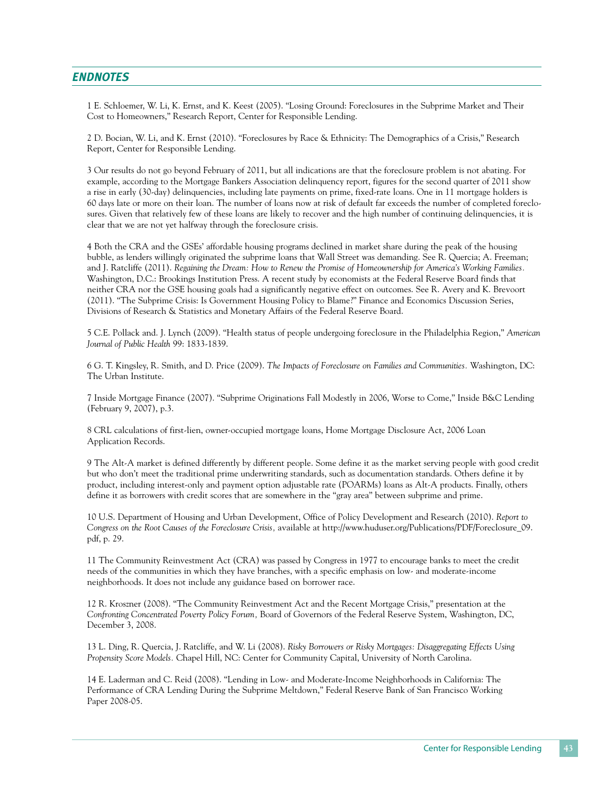## *Endnotes*

1 E. Schloemer, W. Li, K. Ernst, and K. Keest (2005). "Losing Ground: Foreclosures in the Subprime Market and Their Cost to Homeowners," Research Report, Center for Responsible Lending.

2 D. Bocian, W. Li, and K. Ernst (2010). "Foreclosures by Race & Ethnicity: The Demographics of a Crisis," Research Report, Center for Responsible Lending.

3 Our results do not go beyond February of 2011, but all indications are that the foreclosure problem is not abating. For example, according to the Mortgage Bankers Association delinquency report, figures for the second quarter of 2011 show a rise in early (30-day) delinquencies, including late payments on prime, fixed-rate loans. One in 11 mortgage holders is 60 days late or more on their loan. The number of loans now at risk of default far exceeds the number of completed foreclosures. Given that relatively few of these loans are likely to recover and the high number of continuing delinquencies, it is clear that we are not yet halfway through the foreclosure crisis.

4 Both the CRA and the GSEs' affordable housing programs declined in market share during the peak of the housing bubble, as lenders willingly originated the subprime loans that Wall Street was demanding. See R. Quercia; A. Freeman; and J. Ratcliffe (2011). *Regaining the Dream: How to Renew the Promise of Homeownership for America's Working Families.* Washington, D.C.: Brookings Institution Press. A recent study by economists at the Federal Reserve Board finds that neither CRA nor the GSE housing goals had a significantly negative effect on outcomes. See R. Avery and K. Brevoort (2011). "The Subprime Crisis: Is Government Housing Policy to Blame?" Finance and Economics Discussion Series, Divisions of Research & Statistics and Monetary Affairs of the Federal Reserve Board.

5 C.E. Pollack and. J. Lynch (2009). "Health status of people undergoing foreclosure in the Philadelphia Region," *American Journal of Public Health* 99: 1833-1839.

6 G. T. Kingsley, R. Smith, and D. Price (2009). *The Impacts of Foreclosure on Families and Communities.* Washington, DC: The Urban Institute.

7 Inside Mortgage Finance (2007). "Subprime Originations Fall Modestly in 2006, Worse to Come," Inside B&C Lending (February 9, 2007), p.3.

8 CRL calculations of first-lien, owner-occupied mortgage loans, Home Mortgage Disclosure Act, 2006 Loan Application Records.

9 The Alt-A market is defined differently by different people. Some define it as the market serving people with good credit but who don't meet the traditional prime underwriting standards, such as documentation standards. Others define it by product, including interest-only and payment option adjustable rate (POARMs) loans as Alt-A products. Finally, others define it as borrowers with credit scores that are somewhere in the "gray area" between subprime and prime.

10 U.S. Department of Housing and Urban Development, Office of Policy Development and Research (2010). *Report to Congress on the Root Causes of the Foreclosure Crisis,* available at http://www.huduser.org/Publications/PDF/Foreclosure\_09. pdf, p. 29.

11 The Community Reinvestment Act (CRA) was passed by Congress in 1977 to encourage banks to meet the credit needs of the communities in which they have branches, with a specific emphasis on low- and moderate-income neighborhoods. It does not include any guidance based on borrower race.

12 R. Kroszner (2008). "The Community Reinvestment Act and the Recent Mortgage Crisis," presentation at the *Confronting Concentrated Poverty Policy Forum,* Board of Governors of the Federal Reserve System, Washington, DC, December 3, 2008.

13 L. Ding, R. Quercia, J. Ratcliffe, and W. Li (2008). *Risky Borrowers or Risky Mortgages: Disaggregating Effects Using Propensity Score Models.* Chapel Hill, NC: Center for Community Capital, University of North Carolina.

14 E. Laderman and C. Reid (2008). "Lending in Low- and Moderate-Income Neighborhoods in California: The Performance of CRA Lending During the Subprime Meltdown," Federal Reserve Bank of San Francisco Working Paper 2008-05.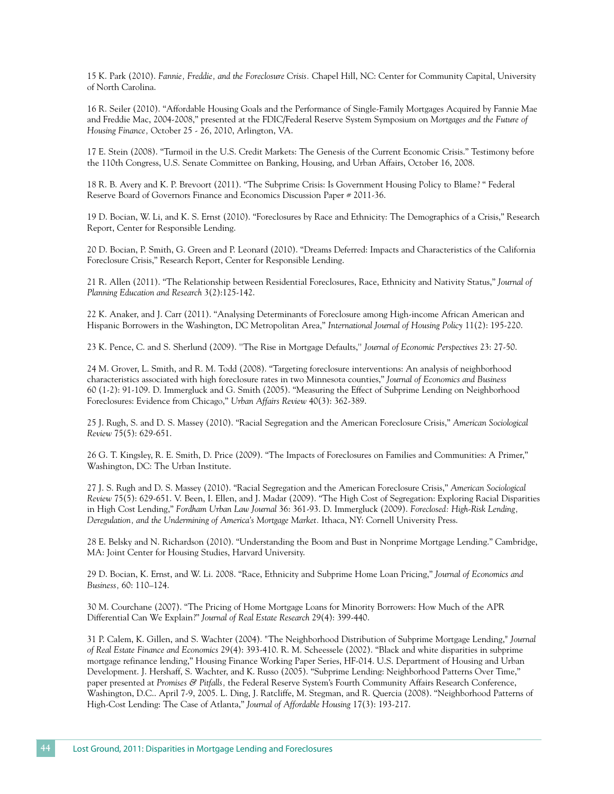15 K. Park (2010). *Fannie, Freddie, and the Foreclosure Crisis.* Chapel Hill, NC: Center for Community Capital, University of North Carolina.

16 R. Seiler (2010). "Affordable Housing Goals and the Performance of Single-Family Mortgages Acquired by Fannie Mae and Freddie Mac, 2004-2008," presented at the FDIC/Federal Reserve System Symposium on *Mortgages and the Future of Housing Finance,* October 25 - 26, 2010, Arlington, VA.

17 E. Stein (2008). "Turmoil in the U.S. Credit Markets: The Genesis of the Current Economic Crisis." Testimony before the 110th Congress, U.S. Senate Committee on Banking, Housing, and Urban Affairs, October 16, 2008.

18 R. B. Avery and K. P. Brevoort (2011). "The Subprime Crisis: Is Government Housing Policy to Blame? " Federal Reserve Board of Governors Finance and Economics Discussion Paper # 2011-36.

19 D. Bocian, W. Li, and K. S. Ernst (2010). "Foreclosures by Race and Ethnicity: The Demographics of a Crisis," Research Report, Center for Responsible Lending.

20 D. Bocian, P. Smith, G. Green and P. Leonard (2010). "Dreams Deferred: Impacts and Characteristics of the California Foreclosure Crisis," Research Report, Center for Responsible Lending.

21 R. Allen (2011). "The Relationship between Residential Foreclosures, Race, Ethnicity and Nativity Status," *Journal of Planning Education and Research* 3(2):125-142.

22 K. Anaker, and J. Carr (2011). "Analysing Determinants of Foreclosure among High-income African American and Hispanic Borrowers in the Washington, DC Metropolitan Area," *International Journal of Housing Policy* 11(2): 195-220.

23 K. Pence, C. and S. Sherlund (2009). ''The Rise in Mortgage Defaults,'' *Journal of Economic Perspectives* 23: 27-50.

24 M. Grover, L. Smith, and R. M. Todd (2008). "Targeting foreclosure interventions: An analysis of neighborhood characteristics associated with high foreclosure rates in two Minnesota counties," *Journal of Economics and Business* 60 (1-2): 91-109. D. Immergluck and G. Smith (2005). "Measuring the Effect of Subprime Lending on Neighborhood Foreclosures: Evidence from Chicago," *Urban Affairs Review* 40(3): 362-389.

25 J. Rugh, S. and D. S. Massey (2010). "Racial Segregation and the American Foreclosure Crisis," *American Sociological Review* 75(5): 629-651.

26 G. T. Kingsley, R. E. Smith, D. Price (2009). "The Impacts of Foreclosures on Families and Communities: A Primer," Washington, DC: The Urban Institute.

27 J. S. Rugh and D. S. Massey (2010). "Racial Segregation and the American Foreclosure Crisis," *American Sociological Review* 75(5): 629-651. V. Been, I. Ellen, and J. Madar (2009). "The High Cost of Segregation: Exploring Racial Disparities in High Cost Lending," *Fordham Urban Law Journal* 36: 361-93. D. Immergluck (2009). *Foreclosed: High-Risk Lending, Deregulation, and the Undermining of America's Mortgage Market.* Ithaca, NY: Cornell University Press.

28 E. Belsky and N. Richardson (2010). "Understanding the Boom and Bust in Nonprime Mortgage Lending." Cambridge, MA: Joint Center for Housing Studies, Harvard University.

29 D. Bocian, K. Ernst, and W. Li. 2008. "Race, Ethnicity and Subprime Home Loan Pricing," *Journal of Economics and Business,* 60: 110–124.

30 M. Courchane (2007). "The Pricing of Home Mortgage Loans for Minority Borrowers: How Much of the APR Differential Can We Explain?" *Journal of Real Estate Research* 29(4): 399-440.

31 P. Calem, K. Gillen, and S. Wachter (2004). "The Neighborhood Distribution of Subprime Mortgage Lending," *Journal of Real Estate Finance and Economics* 29(4): 393-410. R. M. Scheessele (2002). "Black and white disparities in subprime mortgage refinance lending," Housing Finance Working Paper Series, HF-014. U.S. Department of Housing and Urban Development. J. Hershaff, S. Wachter, and K. Russo (2005). "Subprime Lending: Neighborhood Patterns Over Time," paper presented at *Promises & Pitfalls,* the Federal Reserve System's Fourth Community Affairs Research Conference, Washington, D.C.. April 7-9, 2005. L. Ding, J. Ratcliffe, M. Stegman, and R. Quercia (2008). "Neighborhood Patterns of High-Cost Lending: The Case of Atlanta," *Journal of Affordable Housing* 17(3): 193-217.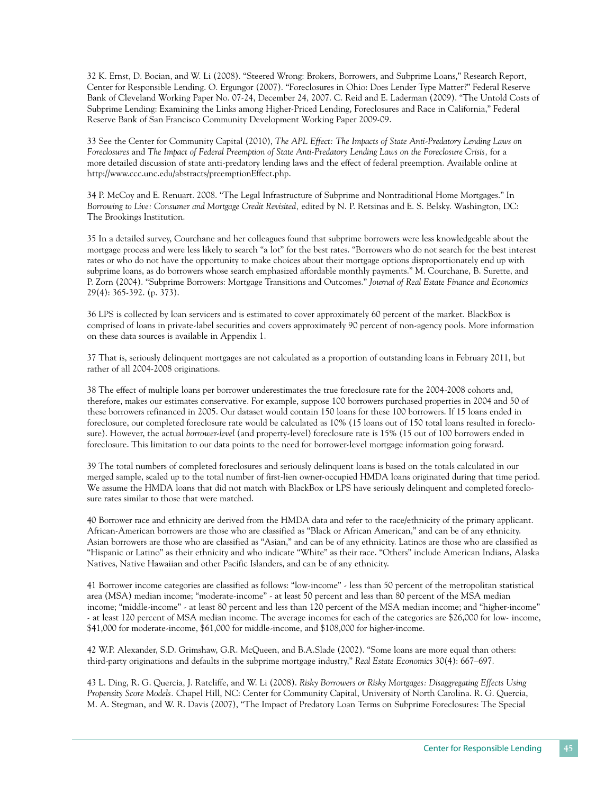32 K. Ernst, D. Bocian, and W. Li (2008). "Steered Wrong: Brokers, Borrowers, and Subprime Loans," Research Report, Center for Responsible Lending. O. Ergungor (2007). "Foreclosures in Ohio: Does Lender Type Matter?" Federal Reserve Bank of Cleveland Working Paper No. 07-24, December 24, 2007. C. Reid and E. Laderman (2009). "The Untold Costs of Subprime Lending: Examining the Links among Higher-Priced Lending, Foreclosures and Race in California," Federal Reserve Bank of San Francisco Community Development Working Paper 2009-09.

33 See the Center for Community Capital (2010), *The APL Effect: The Impacts of State Anti-Predatory Lending Laws on Foreclosures* and *The Impact of Federal Preemption of State Anti-Predatory Lending Laws on the Foreclosure Crisis,* for a more detailed discussion of state anti-predatory lending laws and the effect of federal preemption. Available online at http://www.ccc.unc.edu/abstracts/preemptionEffect.php.

34 P. McCoy and E. Renuart. 2008. "The Legal Infrastructure of Subprime and Nontraditional Home Mortgages." In *Borrowing to Live: Consumer and Mortgage Credit Revisited,* edited by N. P. Retsinas and E. S. Belsky. Washington, DC: The Brookings Institution.

35 In a detailed survey, Courchane and her colleagues found that subprime borrowers were less knowledgeable about the mortgage process and were less likely to search "a lot" for the best rates. "Borrowers who do not search for the best interest rates or who do not have the opportunity to make choices about their mortgage options disproportionately end up with subprime loans, as do borrowers whose search emphasized affordable monthly payments." M. Courchane, B. Surette, and P. Zorn (2004). "Subprime Borrowers: Mortgage Transitions and Outcomes." *Journal of Real Estate Finance and Economics*  29(4): 365-392. (p. 373).

36 LPS is collected by loan servicers and is estimated to cover approximately 60 percent of the market. BlackBox is comprised of loans in private-label securities and covers approximately 90 percent of non-agency pools. More information on these data sources is available in Appendix 1.

37 That is, seriously delinquent mortgages are not calculated as a proportion of outstanding loans in February 2011, but rather of all 2004-2008 originations.

38 The effect of multiple loans per borrower underestimates the true foreclosure rate for the 2004-2008 cohorts and, therefore, makes our estimates conservative. For example, suppose 100 borrowers purchased properties in 2004 and 50 of these borrowers refinanced in 2005. Our dataset would contain 150 loans for these 100 borrowers. If 15 loans ended in foreclosure, our completed foreclosure rate would be calculated as 10% (15 loans out of 150 total loans resulted in foreclosure). However, the actual *borrower-level* (and property-level) foreclosure rate is 15% (15 out of 100 borrowers ended in foreclosure. This limitation to our data points to the need for borrower-level mortgage information going forward.

39 The total numbers of completed foreclosures and seriously delinquent loans is based on the totals calculated in our merged sample, scaled up to the total number of first-lien owner-occupied HMDA loans originated during that time period. We assume the HMDA loans that did not match with BlackBox or LPS have seriously delinquent and completed foreclosure rates similar to those that were matched.

40 Borrower race and ethnicity are derived from the HMDA data and refer to the race/ethnicity of the primary applicant. African-American borrowers are those who are classified as "Black or African American," and can be of any ethnicity. Asian borrowers are those who are classified as "Asian," and can be of any ethnicity. Latinos are those who are classified as "Hispanic or Latino" as their ethnicity and who indicate "White" as their race. "Others" include American Indians, Alaska Natives, Native Hawaiian and other Pacific Islanders, and can be of any ethnicity.

41 Borrower income categories are classified as follows: "low-income" - less than 50 percent of the metropolitan statistical area (MSA) median income; "moderate-income" - at least 50 percent and less than 80 percent of the MSA median income; "middle-income" - at least 80 percent and less than 120 percent of the MSA median income; and "higher-income" - at least 120 percent of MSA median income. The average incomes for each of the categories are \$26,000 for low- income, \$41,000 for moderate-income, \$61,000 for middle-income, and \$108,000 for higher-income.

42 W.P. Alexander, S.D. Grimshaw, G.R. McQueen, and B.A.Slade (2002). "Some loans are more equal than others: third-party originations and defaults in the subprime mortgage industry," *Real Estate Economics* 30(4): 667–697.

43 L. Ding, R. G. Quercia, J. Ratcliffe, and W. Li (2008). *Risky Borrowers or Risky Mortgages: Disaggregating Effects Using Propensity Score Models.* Chapel Hill, NC: Center for Community Capital, University of North Carolina. R. G. Quercia, M. A. Stegman, and W. R. Davis (2007), "The Impact of Predatory Loan Terms on Subprime Foreclosures: The Special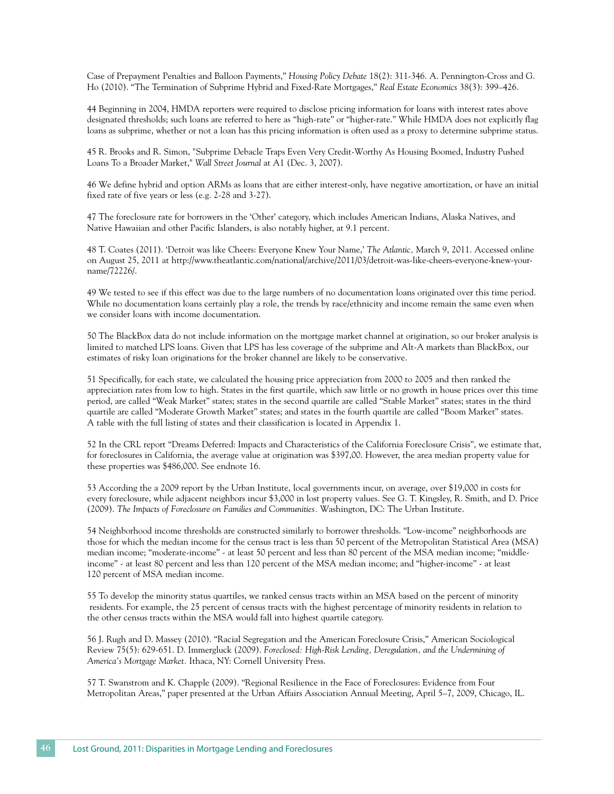Case of Prepayment Penalties and Balloon Payments," *Housing Policy Debate* 18(2): 311-346. A. Pennington-Cross and G. Ho (2010). "The Termination of Subprime Hybrid and Fixed-Rate Mortgages," *Real Estate Economics* 38(3): 399–426.

44 Beginning in 2004, HMDA reporters were required to disclose pricing information for loans with interest rates above designated thresholds; such loans are referred to here as ''high-rate" or "higher-rate." While HMDA does not explicitly flag loans as subprime, whether or not a loan has this pricing information is often used as a proxy to determine subprime status.

45 R. Brooks and R. Simon, "Subprime Debacle Traps Even Very Credit-Worthy As Housing Boomed, Industry Pushed Loans To a Broader Market," *Wall Street Journal* at A1 (Dec. 3, 2007).

46 We define hybrid and option ARMs as loans that are either interest-only, have negative amortization, or have an initial fixed rate of five years or less (e.g. 2-28 and 3-27).

47 The foreclosure rate for borrowers in the 'Other' category, which includes American Indians, Alaska Natives, and Native Hawaiian and other Pacific Islanders, is also notably higher, at 9.1 percent.

48 T. Coates (2011). 'Detroit was like Cheers: Everyone Knew Your Name,' *The Atlantic,* March 9, 2011. Accessed online on August 25, 2011 at http://www.theatlantic.com/national/archive/2011/03/detroit-was-like-cheers-everyone-knew-yourname/72226/.

49 We tested to see if this effect was due to the large numbers of no documentation loans originated over this time period. While no documentation loans certainly play a role, the trends by race/ethnicity and income remain the same even when we consider loans with income documentation.

50 The BlackBox data do not include information on the mortgage market channel at origination, so our broker analysis is limited to matched LPS loans. Given that LPS has less coverage of the subprime and Alt-A markets than BlackBox, our estimates of risky loan originations for the broker channel are likely to be conservative.

51 Specifically, for each state, we calculated the housing price appreciation from 2000 to 2005 and then ranked the appreciation rates from low to high. States in the first quartile, which saw little or no growth in house prices over this time period, are called "Weak Market" states; states in the second quartile are called "Stable Market" states; states in the third quartile are called "Moderate Growth Market" states; and states in the fourth quartile are called "Boom Market" states. A table with the full listing of states and their classification is located in Appendix 1.

52 In the CRL report "Dreams Deferred: Impacts and Characteristics of the California Foreclosure Crisis", we estimate that, for foreclosures in California, the average value at origination was \$397,00. However, the area median property value for these properties was \$486,000. See endnote 16.

53 According the a 2009 report by the Urban Institute, local governments incur, on average, over \$19,000 in costs for every foreclosure, while adjacent neighbors incur \$3,000 in lost property values. See G. T. Kingsley, R. Smith, and D. Price (2009). *The Impacts of Foreclosure on Families and Communities.* Washington, DC: The Urban Institute.

54 Neighborhood income thresholds are constructed similarly to borrower thresholds. "Low-income" neighborhoods are those for which the median income for the census tract is less than 50 percent of the Metropolitan Statistical Area (MSA) median income; "moderate-income" - at least 50 percent and less than 80 percent of the MSA median income; "middleincome" - at least 80 percent and less than 120 percent of the MSA median income; and "higher-income" - at least 120 percent of MSA median income.

55 To develop the minority status quartiles, we ranked census tracts within an MSA based on the percent of minority residents. For example, the 25 percent of census tracts with the highest percentage of minority residents in relation to the other census tracts within the MSA would fall into highest quartile category.

56 J. Rugh and D. Massey (2010). "Racial Segregation and the American Foreclosure Crisis," American Sociological Review 75(5): 629-651. D. Immergluck (2009). *Foreclosed: High-Risk Lending, Deregulation, and the Undermining of America's Mortgage Market.* Ithaca, NY: Cornell University Press.

57 T. Swanstrom and K. Chapple (2009). "Regional Resilience in the Face of Foreclosures: Evidence from Four Metropolitan Areas," paper presented at the Urban Affairs Association Annual Meeting, April 5–7, 2009, Chicago, IL.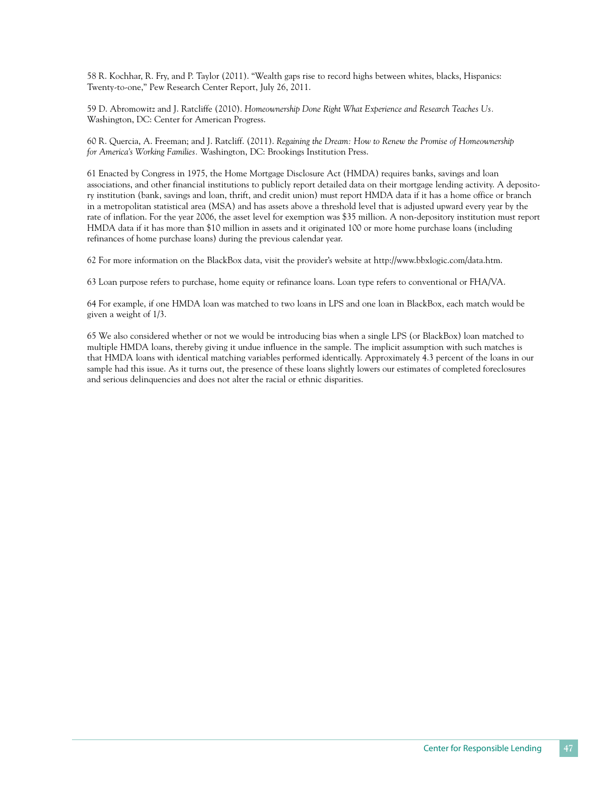58 R. Kochhar, R. Fry, and P. Taylor (2011). "Wealth gaps rise to record highs between whites, blacks, Hispanics: Twenty-to-one," Pew Research Center Report, July 26, 2011.

59 D. Abromowitz and J. Ratcliffe (2010). *Homeownership Done Right What Experience and Research Teaches Us.*  Washington, DC: Center for American Progress.

60 R. Quercia, A. Freeman; and J. Ratcliff. (2011). *Regaining the Dream: How to Renew the Promise of Homeownership for America's Working Families.* Washington, DC: Brookings Institution Press.

61 Enacted by Congress in 1975, the Home Mortgage Disclosure Act (HMDA) requires banks, savings and loan associations, and other financial institutions to publicly report detailed data on their mortgage lending activity. A depository institution (bank, savings and loan, thrift, and credit union) must report HMDA data if it has a home office or branch in a metropolitan statistical area (MSA) and has assets above a threshold level that is adjusted upward every year by the rate of inflation. For the year 2006, the asset level for exemption was \$35 million. A non-depository institution must report HMDA data if it has more than \$10 million in assets and it originated 100 or more home purchase loans (including refinances of home purchase loans) during the previous calendar year.

62 For more information on the BlackBox data, visit the provider's website at http://www.bbxlogic.com/data.htm.

63 Loan purpose refers to purchase, home equity or refinance loans. Loan type refers to conventional or FHA/VA.

64 For example, if one HMDA loan was matched to two loans in LPS and one loan in BlackBox, each match would be given a weight of 1/3.

65 We also considered whether or not we would be introducing bias when a single LPS (or BlackBox) loan matched to multiple HMDA loans, thereby giving it undue influence in the sample. The implicit assumption with such matches is that HMDA loans with identical matching variables performed identically. Approximately 4.3 percent of the loans in our sample had this issue. As it turns out, the presence of these loans slightly lowers our estimates of completed foreclosures and serious delinquencies and does not alter the racial or ethnic disparities.